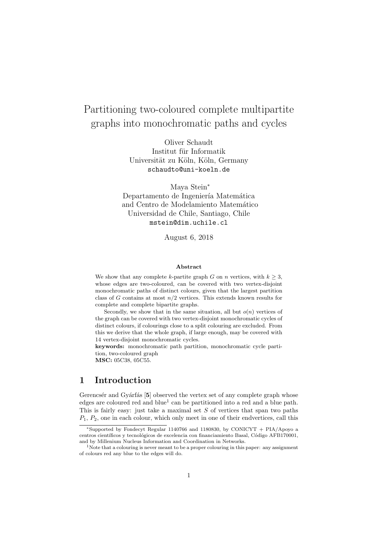# Partitioning two-coloured complete multipartite graphs into monochromatic paths and cycles

Oliver Schaudt Institut für Informatik Universität zu Köln, Köln, Germany schaudto@uni-koeln.de

Maya Stein<sup>∗</sup> Departamento de Ingeniería Matemática and Centro de Modelamiento Matemático Universidad de Chile, Santiago, Chile mstein@dim.uchile.cl

August 6, 2018

#### Abstract

We show that any complete k-partite graph G on n vertices, with  $k \geq 3$ , whose edges are two-coloured, can be covered with two vertex-disjoint monochromatic paths of distinct colours, given that the largest partition class of G contains at most  $n/2$  vertices. This extends known results for complete and complete bipartite graphs.

Secondly, we show that in the same situation, all but  $o(n)$  vertices of the graph can be covered with two vertex-disjoint monochromatic cycles of distinct colours, if colourings close to a split colouring are excluded. From this we derive that the whole graph, if large enough, may be covered with 14 vertex-disjoint monochromatic cycles.

keywords: monochromatic path partition, monochromatic cycle partition, two-coloured graph

MSC: 05C38, 05C55.

## 1 Introduction

Gerencsér and Gyárfás [5] observed the vertex set of any complete graph whose edges are coloured red and blue<sup>1</sup> can be partitioned into a red and a blue path. This is fairly easy: just take a maximal set  $S$  of vertices that span two paths  $P_1, P_2$ , one in each colour, which only meet in one of their endvertices, call this

<sup>∗</sup>Supported by Fondecyt Regular 1140766 and 1180830, by CONICYT + PIA/Apoyo a centros científicos y tecnológicos de excelencia con financiamiento Basal, Código AFB170001, and by Millenium Nucleus Information and Coordination in Networks.

<sup>&</sup>lt;sup>1</sup>Note that a colouring is never meant to be a proper colouring in this paper: any assignment of colours red any blue to the edges will do.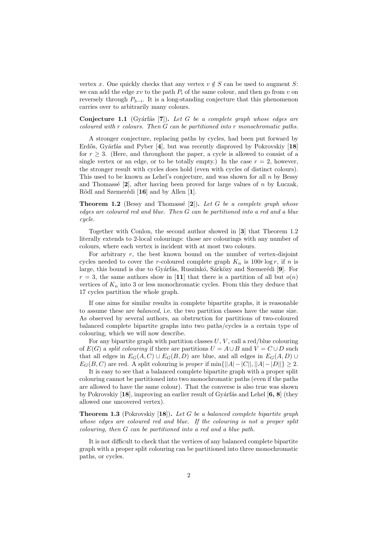vertex x. One quickly checks that any vertex  $v \notin S$  can be used to augment S: we can add the edge xv to the path  $P_i$  of the same colour, and then go from v on reversely through  $P_{3-i}$ . It is a long-standing conjecture that this phenomenon carries over to arbitrarily many colours.

**Conjecture 1.1** (Gyárfás [7]). Let G be a complete graph whose edges are coloured with r colours. Then G can be partitioned into r monochromatic paths.

A stronger conjecture, replacing paths by cycles, had been put forward by Erdős, Gyárfás and Pyber [4], but was recently disproved by Pokrovskiy [18] for  $r \geq 3$ . (Here, and throughout the paper, a cycle is allowed to consist of a single vertex or an edge, or to be totally empty.) In the case  $r = 2$ , however, the stronger result with cycles does hold (even with cycles of distinct colours). This used to be known as Lehel's conjecture, and was shown for all  $n$  by Bessy and Thomassé  $[2]$ , after having been proved for large values of n by Luczak, Rödl and Szemerédi  $[16]$  and by Allen  $[1]$ .

**Theorem 1.2** (Bessy and Thomassé [2]). Let G be a complete graph whose edges are coloured red and blue. Then G can be partitioned into a red and a blue cycle.

Together with Conlon, the second author showed in [3] that Theorem 1.2 literally extends to 2-local colourings: those are colourings with any number of colours, where each vertex is incident with at most two colours.

For arbitrary  $r$ , the best known bound on the number of vertex-disjoint cycles needed to cover the r-coloured complete graph  $K_n$  is 100r log r, if n is large, this bound is due to Gyárfás, Ruszinkó, Sárközy and Szemerédi [9]. For  $r = 3$ , the same authors show in [11] that there is a partition of all but  $o(n)$ vertices of  $K_n$  into 3 or less monochromatic cycles. From this they deduce that 17 cycles partition the whole graph.

If one aims for similar results in complete bipartite graphs, it is reasonable to assume these are balanced, i.e. the two partition classes have the same size. As observed by several authors, an obstruction for partitions of two-coloured balanced complete bipartite graphs into two paths/cycles is a certain type of colouring, which we will now describe.

For any bipartite graph with partition classes  $U, V$ , call a red/blue colouring of  $E(G)$  a split colouring if there are partitions  $U = A \cup B$  and  $V = C \cup D$  such that all edges in  $E_G(A, C) \cup E_G(B, D)$  are blue, and all edges in  $E_G(A, D) \cup$  $E_G(B, C)$  are red. A split colouring is proper if  $\min\{||A|-|C||, ||A|-|D||\} \geq 2$ .

It is easy to see that a balanced complete bipartite graph with a proper split colouring cannot be partitioned into two monochromatic paths (even if the paths are allowed to have the same colour). That the converse is also true was shown by Pokrovskiy  $[18]$ , improving an earlier result of Gyárfás and Lehel  $[6, 8]$  (they allowed one uncovered vertex).

**Theorem 1.3** (Pokrovskiy [18]). Let G be a balanced complete bipartite graph whose edges are coloured red and blue. If the colouring is not a proper split colouring, then G can be partitioned into a red and a blue path.

It is not difficult to check that the vertices of any balanced complete bipartite graph with a proper split colouring can be partitioned into three monochromatic paths, or cycles.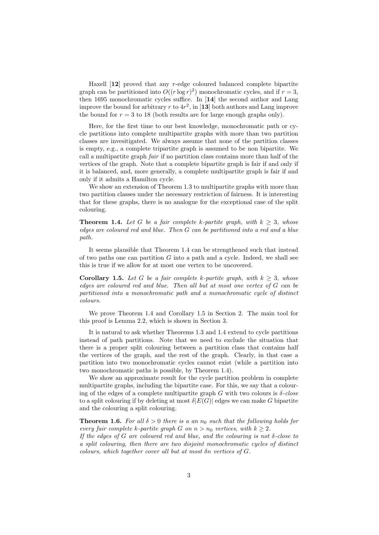Haxell [12] proved that any r-edge coloured balanced complete bipartite graph can be partitioned into  $O((r \log r)^2)$  monochromatic cycles, and if  $r = 3$ , then 1695 monochromatic cycles suffice. In [14] the second author and Lang improve the bound for arbitrary r to  $4r^2$ , in [13] both authors and Lang improve the bound for  $r = 3$  to 18 (both results are for large enough graphs only).

Here, for the first time to our best knowledge, monochromatic path or cycle partitions into complete multipartite graphs with more than two partition classes are invesitigated. We always assume that none of the partition classes is empty, e.g., a complete tripartite graph is assumed to be non bipartite. We call a multipartite graph fair if no partition class contains more than half of the vertices of the graph. Note that a complete bipartite graph is fair if and only if it is balanced, and, more generally, a complete multipartite graph is fair if and only if it admits a Hamilton cycle.

We show an extension of Theorem 1.3 to multipartite graphs with more than two partition classes under the necessary restriction of fairness. It is interesting that for these graphs, there is no analogue for the exceptional case of the split colouring.

**Theorem 1.4.** Let G be a fair complete k-partite graph, with  $k \geq 3$ , whose edges are coloured red and blue. Then G can be partitioned into a red and a blue path.

It seems plausible that Theorem 1.4 can be strengthened such that instead of two paths one can partition  $G$  into a path and a cycle. Indeed, we shall see this is true if we allow for at most one vertex to be uncovered.

**Corollary 1.5.** Let G be a fair complete k-partite graph, with  $k > 3$ , whose edges are coloured red and blue. Then all but at most one vertex of G can be partitioned into a monochromatic path and a monochromatic cycle of distinct colours.

We prove Theorem 1.4 and Corollary 1.5 in Section 2. The main tool for this proof is Lemma 2.2, which is shown in Section 3.

It is natural to ask whether Theorems 1.3 and 1.4 extend to cycle partitions instead of path partitions. Note that we need to exclude the situation that there is a proper split colouring between a partition class that contains half the vertices of the graph, and the rest of the graph. Clearly, in that case a partition into two monochromatic cycles cannot exist (while a partition into two monochromatic paths is possible, by Theorem 1.4).

We show an approximate result for the cycle partition problem in complete multipartite graphs, including the bipartite case. For this, we say that a colouring of the edges of a complete multipartite graph G with two colours is  $\delta$ -close to a split colouring if by deleting at most  $\delta |E(G)|$  edges we can make G bipartite and the colouring a split colouring.

**Theorem 1.6.** For all  $\delta > 0$  there is a an  $n_0$  such that the following holds for every fair complete k-partite graph G on  $n > n_0$  vertices, with  $k \geq 2$ .

If the edges of G are coloured red and blue, and the colouring is not  $\delta$ -close to a split colouring, then there are two disjoint monochromatic cycles of distinct colours, which together cover all but at most δn vertices of G.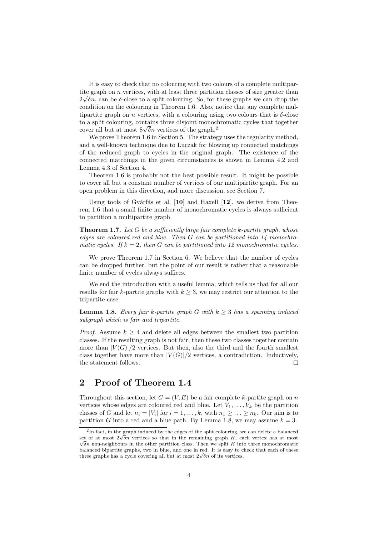It is easy to check that no colouring with two colours of a complete multipartite graph on *n* vertices, with at least three partition classes of size greater than  $2\sqrt{\delta n}$ , can be  $\delta$ -close to a split colouring. So, for these graphs we can drop the condition on the colouring in Theorem 1.6. Also, notice that any complete multipartite graph on *n* vertices, with a colouring using two colours that is  $\delta$ -close to a split colouring, contains three disjoint monochromatic cycles that together to a split colouring, contains three disjoint monocle-<br>cover all but at most  $8\sqrt{\delta}n$  vertices of the graph.<sup>2</sup>

We prove Theorem 1.6 in Section 5. The strategy uses the regularity method, and a well-known technique due to Luczak for blowing up connected matchings of the reduced graph to cycles in the original graph. The existence of the connected matchings in the given circumstances is shown in Lemma 4.2 and Lemma 4.3 of Section 4.

Theorem 1.6 is probably not the best possible result. It might be possible to cover all but a constant number of vertices of our multipartite graph. For an open problem in this direction, and more discussion, see Section 7.

Using tools of Gyárfás et al.  $[10]$  and Haxell  $[12]$ , we derive from Theorem 1.6 that a small finite number of monochromatic cycles is always sufficient to partition a multipartite graph.

**Theorem 1.7.** Let G be a sufficiently large fair complete k-partite graph, whose edges are coloured red and blue. Then G can be partitioned into 14 monochromatic cycles. If  $k = 2$ , then G can be partitioned into 12 monochromatic cycles.

We prove Theorem 1.7 in Section 6. We believe that the number of cycles can be dropped further, but the point of our result is rather that a reasonable finite number of cycles always suffices.

We end the introduction with a useful lemma, which tells us that for all our results for fair k-partite graphs with  $k \geq 3$ , we may restrict our attention to the tripartite case.

**Lemma 1.8.** Every fair k-partite graph G with  $k \geq 3$  has a spanning induced subgraph which is fair and tripartite.

*Proof.* Assume  $k \geq 4$  and delete all edges between the smallest two partition classes. If the resulting graph is not fair, then these two classes together contain more than  $|V(G)|/2$  vertices. But then, also the third and the fourth smallest class together have more than  $|V(G)|/2$  vertices, a contradiction. Inductively, the statement follows.  $\Box$ 

# 2 Proof of Theorem 1.4

Throughout this section, let  $G = (V, E)$  be a fair complete k-partite graph on n vertices whose edges are coloured red and blue. Let  $V_1, \ldots, V_k$  be the partition classes of G and let  $n_i = |V_i|$  for  $i = 1, ..., k$ , with  $n_1 \ge ... \ge n_k$ . Our aim is to partition G into a red and a blue path. By Lemma 1.8, we may assume  $k = 3$ .

<sup>&</sup>lt;sup>2</sup>In fact, in the graph induced by the edges of the split colouring, we can delete a balanced  $\epsilon$  in fact, in the graph induced by the edges of the split colouring, we can delete a balanced set of at most  $2\sqrt{\delta n}$  vertices so that in the remaining graph H, each vertex has at most  $\sqrt{\delta}n$  non-neighbours in the other partition class. Then we split H into three monochromatic balanced bipartite graphs, two in blue, and one in red. It is easy to check that each of these balanced bipartite graphs, two in blue, and one in red. It is easy to c<br>three graphs has a cycle covering all but at most  $2\sqrt{\delta}n$  of its vertices.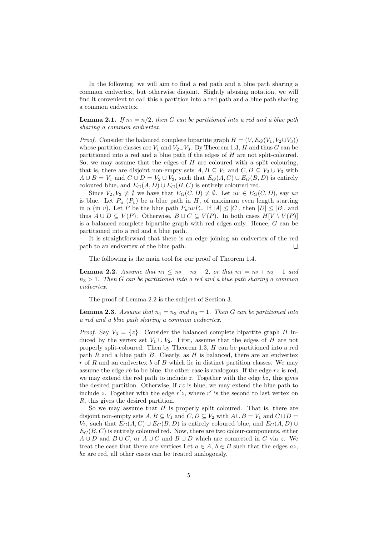In the following, we will aim to find a red path and a blue path sharing a common endvertex, but otherwise disjoint. Slightly abusing notation, we will find it convenient to call this a partition into a red path and a blue path sharing a common endvertex.

**Lemma 2.1.** If  $n_1 = n/2$ , then G can be partitioned into a red and a blue path sharing a common endvertex.

*Proof.* Consider the balanced complete bipartite graph  $H = (V, E_G(V_1, V_2 \cup V_3))$ whose partition classes are  $V_1$  and  $V_2 \cup V_3$ . By Theorem 1.3, H and thus G can be partitioned into a red and a blue path if the edges of H are not split-coloured. So, we may assume that the edges of  $H$  are coloured with a split colouring, that is, there are disjoint non-empty sets  $A, B \subseteq V_1$  and  $C, D \subseteq V_2 \cup V_3$  with  $A \cup B = V_1$  and  $C \cup D = V_2 \cup V_3$ , such that  $E_G(A, C) \cup E_G(B, D)$  is entirely coloured blue, and  $E_G(A, D) \cup E_G(B, C)$  is entirely coloured red.

Since  $V_2, V_3 \neq \emptyset$  we have that  $E_G(C, D) \neq \emptyset$ . Let  $uv \in E_G(C, D)$ , say uv is blue. Let  $P_u$  ( $P_v$ ) be a blue path in H, of maximum even length starting in u (in v). Let P be the blue path  $P_u u v P_v$ . If  $|A| \leq |C|$ , then  $|D| \leq |B|$ , and thus  $A \cup D \subseteq V(P)$ . Otherwise,  $B \cup C \subseteq V(P)$ . In both cases  $H[V \setminus V(P)]$ is a balanced complete bipartite graph with red edges only. Hence, G can be partitioned into a red and a blue path.

It is straightforward that there is an edge joining an endvertex of the red path to an endvertex of the blue path.  $\Box$ 

The following is the main tool for our proof of Theorem 1.4.

**Lemma 2.2.** Assume that  $n_1 \leq n_2 + n_3 - 2$ , or that  $n_1 = n_2 + n_3 - 1$  and  $n_3 > 1$ . Then G can be partitioned into a red and a blue path sharing a common endvertex.

The proof of Lemma 2.2 is the subject of Section 3.

**Lemma 2.3.** Assume that  $n_1 = n_2$  and  $n_3 = 1$ . Then G can be partitioned into a red and a blue path sharing a common endvertex.

*Proof.* Say  $V_3 = \{z\}$ . Consider the balanced complete bipartite graph H induced by the vertex set  $V_1 \cup V_2$ . First, assume that the edges of H are not properly split-coloured. Then by Theorem 1.3, H can be partitioned into a red path  $R$  and a blue path  $B$ . Clearly, as  $H$  is balanced, there are an endvertex  $r$  of R and an endvertex b of B which lie in distinct partition classes. We may assume the edge  $rb$  to be blue, the other case is analogous. If the edge  $rz$  is red, we may extend the red path to include  $z$ . Together with the edge  $bz$ , this gives the desired partition. Otherwise, if  $rz$  is blue, we may extend the blue path to include z. Together with the edge  $r'z$ , where  $r'$  is the second to last vertex on R, this gives the desired partition.

So we may assume that  $H$  is properly split coloured. That is, there are disjoint non-empty sets  $A, B \subseteq V_1$  and  $C, D \subseteq V_2$  with  $A \cup B = V_1$  and  $C \cup D =$ V<sub>2</sub>, such that  $E_G(A, C) \cup E_G(B, D)$  is entirely coloured blue, and  $E_G(A, D) \cup$  $E_G(B, C)$  is entirely coloured red. Now, there are two colour-components, either  $A \cup D$  and  $B \cup C$ , or  $A \cup C$  and  $B \cup D$  which are connected in G via z. We treat the case that there are vertices Let  $a \in A$ ,  $b \in B$  such that the edges  $az$ , bz are red, all other cases can be treated analogously.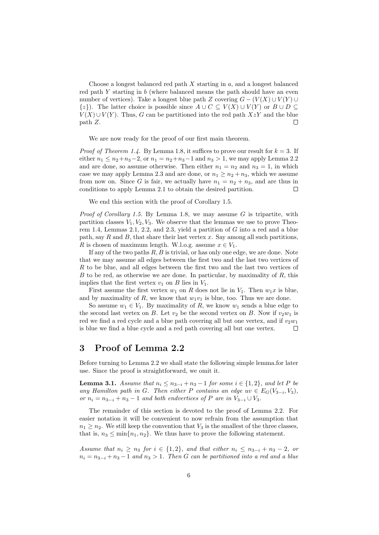Choose a longest balanced red path  $X$  starting in  $a$ , and a longest balanced red path  $Y$  starting in  $b$  (where balanced means the path should have an even number of vertices). Take a longest blue path Z covering  $G - (V(X) \cup V(Y) \cup$  $\{z\}$ ). The latter choice is possible since  $A \cup C \subseteq V(X) \cup V(Y)$  or  $B \cup D \subseteq$  $V(X) \cup V(Y)$ . Thus, G can be partitioned into the red path  $XzY$  and the blue path Z.  $\Box$ 

We are now ready for the proof of our first main theorem.

*Proof of Theorem 1.4.* By Lemma 1.8, it suffices to prove our result for  $k = 3$ . If either  $n_1 \le n_2 + n_3 - 2$ , or  $n_1 = n_2 + n_3 - 1$  and  $n_3 > 1$ , we may apply Lemma 2.2 and are done, so assume otherwise. Then either  $n_1 = n_2$  and  $n_3 = 1$ , in which case we may apply Lemma 2.3 and are done, or  $n_1 \geq n_2 + n_3$ , which we assume from now on. Since G is fair, we actually have  $n_1 = n_2 + n_3$ , and are thus in conditions to apply Lemma 2.1 to obtain the desired partition.  $\Box$ 

We end this section with the proof of Corollary 1.5.

*Proof of Corollary 1.5.* By Lemma 1.8, we may assume  $G$  is tripartite, with partition classes  $V_1, V_2, V_3$ . We observe that the lemmas we use to prove Theorem 1.4, Lemmas 2.1, 2.2, and 2.3, yield a partition of  $G$  into a red and a blue path, say R and B, that share their last vertex  $x$ . Say among all such partitions, R is chosen of maximum length. W.l.o.g. assume  $x \in V_1$ .

If any of the two paths  $R, B$  is trivial, or has only one edge, we are done. Note that we may assume all edges between the first two and the last two vertices of R to be blue, and all edges between the first two and the last two vertices of  $B$  to be red, as otherwise we are done. In particular, by maximality of  $R$ , this implies that the first vertex  $v_1$  on B lies in  $V_1$ .

First assume the first vertex  $w_1$  on R does not lie in  $V_1$ . Then  $w_1x$  is blue, and by maximality of R, we know that  $w_1v_1$  is blue, too. Thus we are done.

So assume  $w_1 \in V_1$ . By maximality of R, we know  $w_1$  sends a blue edge to the second last vertex on B. Let  $v_2$  be the second vertex on B. Now if  $v_2w_1$  is red we find a red cycle and a blue path covering all but one vertex, and if  $v_2w_1$ is blue we find a blue cycle and a red path covering all but one vertex. П

#### 3 Proof of Lemma 2.2

Before turning to Lemma 2.2 we shall state the following simple lemma.for later use. Since the proof is straightforward, we omit it.

**Lemma 3.1.** Assume that  $n_i \leq n_{3-i} + n_3 - 1$  for some  $i \in \{1, 2\}$ , and let P be any Hamilton path in G. Then either P contains an edge  $uv \in E_G(V_{3-i}, V_3)$ , or  $n_i = n_{3-i} + n_3 - 1$  and both endvertices of P are in  $V_{3-i} \cup V_3$ .

The remainder of this section is devoted to the proof of Lemma 2.2. For easier notation it will be convenient to now refrain from the assumption that  $n_1 \geq n_2$ . We still keep the convention that  $V_3$  is the smallest of the three classes, that is,  $n_3 \leq \min\{n_1, n_2\}$ . We thus have to prove the following statement.

Assume that  $n_i \geq n_3$  for  $i \in \{1,2\}$ , and that either  $n_i \leq n_{3-i} + n_3 - 2$ , or  $n_i = n_{3-i} + n_3 - 1$  and  $n_3 > 1$ . Then G can be partitioned into a red and a blue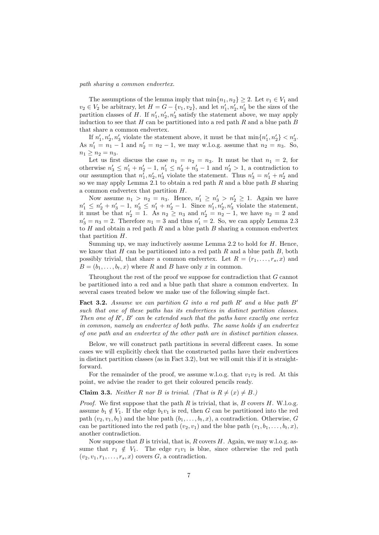#### path sharing a common endvertex.

The assumptions of the lemma imply that  $\min\{n_1, n_2\} \geq 2$ . Let  $v_1 \in V_1$  and  $v_2 \in V_2$  be arbitrary, let  $H = G - \{v_1, v_2\}$ , and let  $n'_1, n'_2, n'_3$  be the sizes of the partition classes of H. If  $n'_1, n'_2, n'_3$  satisfy the statement above, we may apply induction to see that  $H$  can be partitioned into a red path  $R$  and a blue path  $B$ that share a common endvertex.

If  $n'_1, n'_2, n'_3$  violate the statement above, it must be that  $\min\{n'_1, n'_2\} < n'_3$ . As  $n'_1 = n_1 - 1$  and  $n'_2 = n_2 - 1$ , we may w.l.o.g. assume that  $n_2 = n_3$ . So,  $n_1 \geq n_2 = n_3$ .

Let us first discuss the case  $n_1 = n_2 = n_3$ . It must be that  $n_1 = 2$ , for otherwise  $n'_3 \leq n'_1 + n'_2 - 1$ ,  $n'_1 \leq n'_2 + n'_3 - 1$  and  $n'_2 > 1$ , a contradiction to our assumption that  $n'_1, n'_2, n'_3$  violate the statement. Thus  $n'_3 = n'_1 + n'_2$  and so we may apply Lemma 2.1 to obtain a red path  $R$  and a blue path  $B$  sharing a common endvertex that partition H.

Now assume  $n_1 > n_2 = n_3$ . Hence,  $n'_1 \ge n'_3 > n'_2 \ge 1$ . Again we have  $n'_1 \leq n'_2 + n'_3 - 1$ ,  $n'_3 \leq n'_1 + n'_2 - 1$ . Since  $n'_1, n'_2, n'_3$  violate the statement, it must be that  $n'_2 = 1$ . As  $n_2 \ge n_3$  and  $n'_2 = n_2 - 1$ , we have  $n_2 = 2$  and  $n'_3 = n_3 = 2$ . Therefore  $n_1 = 3$  and thus  $n'_1 = 2$ . So, we can apply Lemma 2.3 to  $H$  and obtain a red path  $R$  and a blue path  $B$  sharing a common endvertex that partition H.

Summing up, we may inductively assume Lemma  $2.2$  to hold for  $H$ . Hence, we know that H can be partitioned into a red path R and a blue path B, both possibly trivial, that share a common endvertex. Let  $R = (r_1, \ldots, r_s, x)$  and  $B = (b_1, \ldots, b_t, x)$  where R and B have only x in common.

Throughout the rest of the proof we suppose for contradiction that G cannot be partitioned into a red and a blue path that share a common endvertex. In several cases treated below we make use of the following simple fact.

**Fact 3.2.** Assume we can partition G into a red path R' and a blue path B' such that one of these paths has its endvertices in distinct partition classes. Then one of  $R'$ ,  $B'$  can be extended such that the paths have exactly one vertex in common, namely an endvertex of both paths. The same holds if an endvertex of one path and an endvertex of the other path are in distinct partition classes.

Below, we will construct path partitions in several different cases. In some cases we will explicitly check that the constructed paths have their endvertices in distinct partition classes (as in Fact 3.2), but we will omit this if it is straightforward.

For the remainder of the proof, we assume w.l.o.g. that  $v_1v_2$  is red. At this point, we advise the reader to get their coloured pencils ready.

**Claim 3.3.** Neither R nor B is trivial. (That is  $R \neq (x) \neq B$ .)

*Proof.* We first suppose that the path  $R$  is trivial, that is,  $B$  covers  $H$ . W.l.o.g. assume  $b_1 \notin V_1$ . If the edge  $b_1v_1$  is red, then G can be partitioned into the red path  $(v_2, v_1, b_1)$  and the blue path  $(b_1, \ldots, b_t, x)$ , a contradiction. Otherwise, G can be partitioned into the red path  $(v_2, v_1)$  and the blue path  $(v_1, b_1, \ldots, b_t, x)$ , another contradiction.

Now suppose that  $B$  is trivial, that is,  $R$  covers  $H$ . Again, we may w.l.o.g. assume that  $r_1 \notin V_1$ . The edge  $r_1v_1$  is blue, since otherwise the red path  $(v_2, v_1, r_1, \ldots, r_s, x)$  covers G, a contradiction.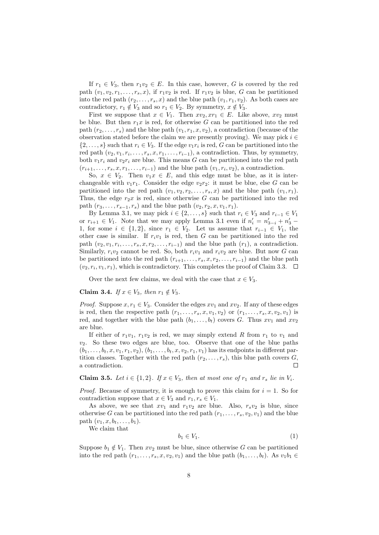If  $r_1 \in V_3$ , then  $r_1v_2 \in E$ . In this case, however, G is covered by the red path  $(v_1, v_2, r_1, \ldots, r_s, x)$ , if  $r_1v_2$  is red. If  $r_1v_2$  is blue, G can be partitioned into the red path  $(r_2, \ldots, r_s, x)$  and the blue path  $(v_1, r_1, v_2)$ . As both cases are contradictory,  $r_1 \notin V_3$  and so  $r_1 \in V_2$ . By symmetry,  $x \notin V_3$ .

First we suppose that  $x \in V_1$ . Then  $xv_2, xr_1 \in E$ . Like above,  $xv_2$  must be blue. But then  $r_1x$  is red, for otherwise G can be partitioned into the red path  $(r_2, \ldots, r_s)$  and the blue path  $(v_1, r_1, x, v_2)$ , a contradiction (because of the observation stated before the claim we are presently proving). We may pick  $i \in$  $\{2,\ldots,s\}$  such that  $r_i \in V_3$ . If the edge  $v_1r_i$  is red, G can be partitioned into the red path  $(v_2, v_1, r_i, \ldots, r_s, x, r_1, \ldots, r_{i-1})$ , a contradiction. Thus, by symmetry, both  $v_1r_i$  and  $v_2r_i$  are blue. This means G can be partitioned into the red path  $(r_{i+1},\ldots,r_s,x,r_1,\ldots,r_{i-1})$  and the blue path  $(v_1,r_i,v_2)$ , a contradiction.

So,  $x \in V_2$ . Then  $v_1x \in E$ , and this edge must be blue, as it is interchangeable with  $v_1r_1$ . Consider the edge  $v_2r_2$ : it must be blue, else G can be partitioned into the red path  $(v_1, v_2, r_2, \ldots, r_s, x)$  and the blue path  $(v_1, r_1)$ . Thus, the edge  $r_2x$  is red, since otherwise G can be partitioned into the red path  $(r_3, ..., r_{s-1}, r_s)$  and the blue path  $(v_2, r_2, x, v_1, r_1)$ .

By Lemma 3.1, we may pick  $i \in \{2, \ldots, s\}$  such that  $r_i \in V_3$  and  $r_{i-1} \in V_1$ or  $r_{i+1} \in V_1$ . Note that we may apply Lemma 3.1 even if  $n'_i = n'_{3-i} + n'_3$ 1, for some  $i \in \{1,2\}$ , since  $r_1 \in V_2$ . Let us assume that  $r_{i-1} \in V_1$ , the other case is similar. If  $r_i v_1$  is red, then G can be partitioned into the red path  $(v_2, v_1, r_i, \ldots, r_s, x, r_2, \ldots, r_{i-1})$  and the blue path  $(r_1)$ , a contradiction. Similarly,  $r_i v_2$  cannot be red. So, both  $r_i v_1$  and  $r_i v_2$  are blue. But now G can be partitioned into the red path  $(r_{i+1}, \ldots, r_s, x, r_2, \ldots, r_{i-1})$  and the blue path  $(v_2, r_i, v_1, r_1)$ , which is contradictory. This completes the proof of Claim 3.3.

Over the next few claims, we deal with the case that  $x \in V_3$ .

#### Claim 3.4. If  $x \in V_3$ , then  $r_1 \notin V_3$ .

*Proof.* Suppose  $x, r_1 \in V_3$ . Consider the edges  $xv_1$  and  $xv_2$ . If any of these edges is red, then the respective path  $(r_1, \ldots, r_s, x, v_1, v_2)$  or  $(r_1, \ldots, r_s, x, v_2, v_1)$  is red, and together with the blue path  $(b_1, \ldots, b_t)$  covers G. Thus  $xv_1$  and  $xv_2$ are blue.

If either of  $r_1v_1$ ,  $r_1v_2$  is red, we may simply extend R from  $r_1$  to  $v_1$  and  $v_2$ . So these two edges are blue, too. Observe that one of the blue paths  $(b_1, \ldots, b_t, x, v_1, r_1, v_2), (b_1, \ldots, b_t, x, v_2, r_1, v_1)$  has its endpoints in different partition classes. Together with the red path  $(r_2, \ldots, r_s)$ , this blue path covers G, a contradiction. Г

**Claim 3.5.** Let  $i \in \{1,2\}$ . If  $x \in V_3$ , then at most one of  $r_1$  and  $r_s$  lie in  $V_i$ .

*Proof.* Because of symmetry, it is enough to prove this claim for  $i = 1$ . So for contradiction suppose that  $x \in V_3$  and  $r_1, r_s \in V_1$ .

As above, we see that  $xv_1$  and  $r_1v_2$  are blue. Also,  $r_sv_2$  is blue, since otherwise G can be partitioned into the red path  $(r_1, \ldots, r_s, v_2, v_1)$  and the blue path  $(v_1, x, b_t, \ldots, b_1)$ .

We claim that

$$
b_1 \in V_1. \tag{1}
$$

Suppose  $b_1 \notin V_1$ . Then  $xv_2$  must be blue, since otherwise G can be partitioned into the red path  $(r_1, \ldots, r_s, x, v_2, v_1)$  and the blue path  $(b_1, \ldots, b_t)$ . As  $v_1b_1 \in$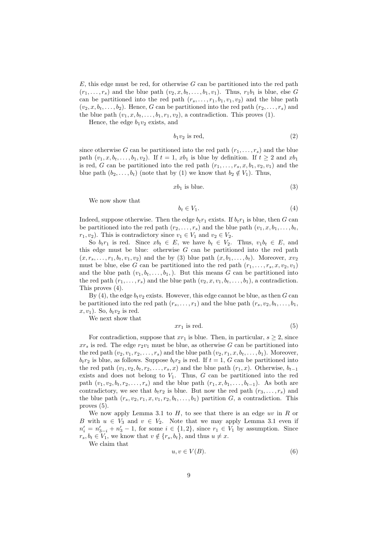$E$ , this edge must be red, for otherwise G can be partitioned into the red path  $(r_1, \ldots, r_s)$  and the blue path  $(v_2, x, b_t, \ldots, b_1, v_1)$ . Thus,  $r_1b_1$  is blue, else G can be partitioned into the red path  $(r_s, \ldots, r_1, b_1, v_1, v_2)$  and the blue path  $(v_2, x, b_t, \ldots, b_2)$ . Hence, G can be partitioned into the red path  $(r_2, \ldots, r_s)$  and the blue path  $(v_1, x, b_t, \ldots, b_1, r_1, v_2)$ , a contradiction. This proves (1).

Hence, the edge  $b_1v_2$  exists, and

$$
b_1 v_2 \text{ is red},\tag{2}
$$

since otherwise G can be partitioned into the red path  $(r_1, \ldots, r_s)$  and the blue path  $(v_1, x, b_t, \ldots, b_1, v_2)$ . If  $t = 1$ ,  $xb_1$  is blue by definition. If  $t \geq 2$  and  $xb_1$ is red, G can be partitioned into the red path  $(r_1, \ldots, r_s, x, b_1, v_2, v_1)$  and the blue path  $(b_2, \ldots, b_t)$  (note that by (1) we know that  $b_2 \notin V_1$ ). Thus,

$$
xb_1 \t{is blue.} \t(3)
$$

We now show that

$$
b_t \in V_1. \tag{4}
$$

Indeed, suppose otherwise. Then the edge  $b_t r_1$  exists. If  $b_t r_1$  is blue, then G can be partitioned into the red path  $(r_2, \ldots, r_s)$  and the blue path  $(v_1, x, b_1, \ldots, b_t,$  $r_1, v_2$ ). This is contradictory since  $v_1 \in V_1$  and  $v_2 \in V_2$ .

So  $b_t r_1$  is red. Since  $x b_t \in E$ , we have  $b_t \in V_2$ . Thus,  $v_1 b_t \in E$ , and this edge must be blue: otherwise  $G$  can be partitioned into the red path  $(x, r<sub>s</sub>, \ldots, r<sub>1</sub>, b<sub>t</sub>, v<sub>1</sub>, v<sub>2</sub>)$  and the by (3) blue path  $(x, b<sub>1</sub>, \ldots, b<sub>t</sub>)$ . Moreover,  $xv<sub>2</sub>$ must be blue, else G can be partitioned into the red path  $(r_1, \ldots, r_s, x, v_2, v_1)$ and the blue path  $(v_1, b_t, \ldots, b_1)$ . But this means G can be partitioned into the red path  $(r_1, \ldots, r_s)$  and the blue path  $(v_2, x, v_1, b_t, \ldots, b_1)$ , a contradiction. This proves (4).

By (4), the edge  $b_t v_2$  exists. However, this edge cannot be blue, as then G can be partitioned into the red path  $(r_s, \ldots, r_1)$  and the blue path  $(r_s, v_2, b_t, \ldots, b_1,$  $x, v_1$ ). So,  $b_t v_2$  is red.

We next show that

$$
xr_1 \text{ is red.} \tag{5}
$$

For contradiction, suppose that  $xr_1$  is blue. Then, in particular,  $s \geq 2$ , since  $xr_s$  is red. The edge  $r_2v_1$  must be blue, as otherwise G can be partitioned into the red path  $(v_2, v_1, r_2, \ldots, r_s)$  and the blue path  $(v_2, r_1, x, b_t, \ldots, b_1)$ . Moreover,  $b_t r_2$  is blue, as follows. Suppose  $b_t r_2$  is red. If  $t = 1$ , G can be partitioned into the red path  $(v_1, v_2, b_t, r_2, \ldots, r_s, x)$  and the blue path  $(r_1, x)$ . Otherwise,  $b_{t-1}$ exists and does not belong to  $V_1$ . Thus,  $G$  can be partitioned into the red path  $(v_1, v_2, b_t, r_2, \ldots, r_s)$  and the blue path  $(r_1, x, b_1, \ldots, b_{t-1})$ . As both are contradictory, we see that  $b_t r_2$  is blue. But now the red path  $(r_3, \ldots, r_s)$  and the blue path  $(r_s, v_2, r_1, x, v_1, r_2, b_t, \ldots, b_1)$  partition G, a contradiction. This proves (5).

We now apply Lemma 3.1 to  $H$ , to see that there is an edge uv in  $R$  or B with  $u \in V_3$  and  $v \in V_2$ . Note that we may apply Lemma 3.1 even if  $n'_{i} = n'_{3-i} + n'_{3} - 1$ , for some  $i \in \{1, 2\}$ , since  $r_1 \in V_1$  by assumption. Since  $r_s, b_t \in V_1$ , we know that  $v \notin \{r_s, b_t\}$ , and thus  $u \neq x$ .

We claim that

$$
u, v \in V(B). \tag{6}
$$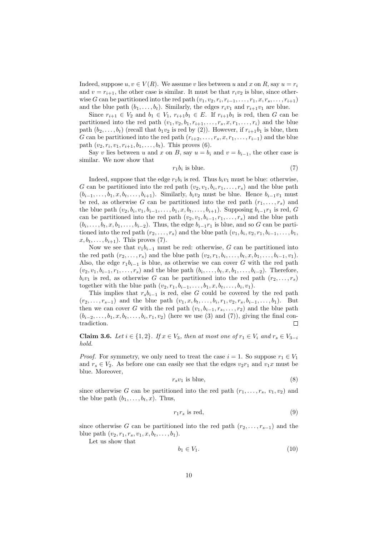Indeed, suppose  $u, v \in V(R)$ . We assume v lies between u and x on R, say  $u = r_i$ and  $v = r_{i+1}$ , the other case is similar. It must be that  $r_i v_2$  is blue, since otherwise G can be partitioned into the red path  $(v_1, v_2, r_i, r_{i-1}, \ldots, r_1, x, r_s, \ldots, r_{i+1})$ and the blue path  $(b_1, \ldots, b_t)$ . Similarly, the edges  $r_i v_1$  and  $r_{i+1} v_1$  are blue.

Since  $r_{i+1} \in V_2$  and  $b_1 \in V_1$ ,  $r_{i+1}b_1 \in E$ . If  $r_{i+1}b_1$  is red, then G can be partitioned into the red path  $(v_1, v_2, b_1, r_{i+1}, \ldots, r_s, x, r_1, \ldots, r_i)$  and the blue path  $(b_2, \ldots, b_t)$  (recall that  $b_1v_2$  is red by (2)). However, if  $r_{i+1}b_1$  is blue, then G can be partitioned into the red path  $(r_{i+2}, \ldots, r_s, x, r_1, \ldots, r_{i-1})$  and the blue path  $(v_2, r_i, v_1, r_{i+1}, b_1, \ldots, b_t)$ . This proves (6).

Say v lies between u and x on B, say  $u = b_i$  and  $v = b_{i-1}$ , the other case is similar. We now show that

$$
r_1 b_i \text{ is blue.} \tag{7}
$$

Indeed, suppose that the edge  $r_1b_i$  is red. Thus  $b_i v_1$  must be blue: otherwise, G can be partitioned into the red path  $(v_2, v_1, b_i, r_1, \ldots, r_s)$  and the blue path  $(b_{i-1}, \ldots, b_1, x, b_t, \ldots, b_{i+1})$ . Similarly,  $b_i v_2$  must be blue. Hence  $b_{i-1}v_1$  must be red, as otherwise G can be partitioned into the red path  $(r_1, \ldots, r_s)$  and the blue path  $(v_2, b_i, v_1, b_{i-1}, \ldots, b_1, x, b_t, \ldots, b_{i+1})$ . Supposing  $b_{i-1}r_1$  is red, G can be partitioned into the red path  $(v_2, v_1, b_{i-1}, r_1, \ldots, r_s)$  and the blue path  $(b_i, \ldots, b_t, x, b_1, \ldots, b_{i-2})$ . Thus, the edge  $b_{i-1}r_1$  is blue, and so G can be partitioned into the red path  $(r_2, \ldots, r_s)$  and the blue path  $(v_1, b_i, v_2, r_1, b_{i-1}, \ldots, b_1,$  $x, b_t, \ldots, b_{i+1}$ ). This proves (7).

Now we see that  $v_1b_{i-1}$  must be red: otherwise, G can be partitioned into the red path  $(r_2, ..., r_s)$  and the blue path  $(v_2, r_1, b_i, ..., b_t, x, b_1, ..., b_{i-1}, v_1)$ . Also, the edge  $r_1b_{i-1}$  is blue, as otherwise we can cover G with the red path  $(v_2, v_1, b_{i-1}, r_1, \ldots, r_s)$  and the blue path  $(b_i, \ldots, b_t, x, b_1, \ldots, b_{i-2})$ . Therefore,  $b_i v_1$  is red, as otherwise G can be partitioned into the red path  $(r_2, \ldots, r_s)$ together with the blue path  $(v_2, r_1, b_{i-1}, \ldots, b_1, x, b_t, \ldots, b_i, v_1)$ .

This implies that  $r_s b_{i-1}$  is red, else G could be covered by the red path  $(r_2, \ldots, r_{s-1})$  and the blue path  $(v_1, x, b_t, \ldots, b_i, r_1, v_2, r_s, b_{i-1}, \ldots, b_1)$ . But then we can cover G with the red path  $(v_1, b_{i-1}, r_s, \ldots, r_2)$  and the blue path  $(b_{i-2},\ldots,b_1,x,b_t,\ldots,b_i,r_1,v_2)$  (here we use (3) and (7)), giving the final contradiction. Г

Claim 3.6. Let  $i \in \{1,2\}$ . If  $x \in V_3$ , then at most one of  $r_1 \in V_i$  and  $r_s \in V_{3-i}$ hold.

*Proof.* For symmetry, we only need to treat the case  $i = 1$ . So suppose  $r_1 \in V_1$ and  $r_s \in V_2$ . As before one can easily see that the edges  $v_2r_1$  and  $v_1x$  must be blue. Moreover,

$$
r_s v_1 \text{ is blue},\tag{8}
$$

since otherwise G can be partitioned into the red path  $(r_1, \ldots, r_s, v_1, v_2)$  and the blue path  $(b_1, \ldots, b_t, x)$ . Thus,

$$
r_1 r_s \text{ is red},\tag{9}
$$

since otherwise G can be partitioned into the red path  $(r_2, \ldots, r_{s-1})$  and the blue path  $(v_2, r_1, r_s, v_1, x, b_t, \ldots, b_1)$ .

Let us show that

$$
b_1 \in V_1. \tag{10}
$$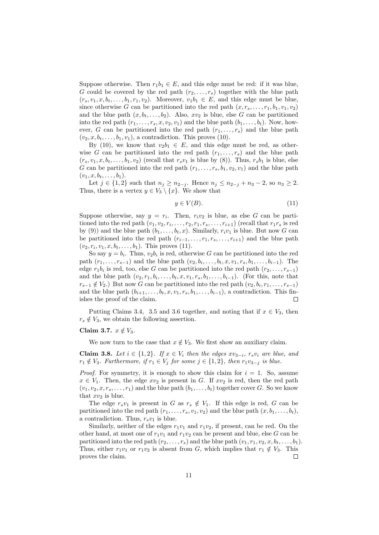Suppose otherwise. Then  $r_1b_1 \in E$ , and this edge must be red: if it was blue, G could be covered by the red path  $(r_2, \ldots, r_s)$  together with the blue path  $(r_s, v_1, x, b_t, \ldots, b_1, r_1, v_2)$ . Moreover,  $v_1b_1 \in E$ , and this edge must be blue, since otherwise G can be partitioned into the red path  $(x, r_s, \ldots, r_1, b_1, v_1, v_2)$ and the blue path  $(x, b_t, \ldots, b_2)$ . Also,  $xv_2$  is blue, else G can be partitioned into the red path  $(r_1, \ldots, r_s, x, v_2, v_1)$  and the blue path  $(b_1, \ldots, b_t)$ . Now, however, G can be partitioned into the red path  $(r_1, \ldots, r_s)$  and the blue path  $(v_2, x, b_t, \ldots, b_1, v_1)$ , a contradiction. This proves (10).

By (10), we know that  $v_2b_1 \in E$ , and this edge must be red, as otherwise G can be partitioned into the red path  $(r_1, \ldots, r_s)$  and the blue path  $(r_s, v_1, x, b_t, \ldots, b_1, v_2)$  (recall that  $r_s v_1$  is blue by (8)). Thus,  $r_s b_1$  is blue, else G can be partitioned into the red path  $(r_1, \ldots, r_s, b_1, v_2, v_1)$  and the blue path  $(v_1, x, b_t, \ldots, b_1).$ 

Let *j* ∈ {1, 2} such that  $n_j \ge n_{2-j}$ . Hence  $n_j \le n_{2-j} + n_3 - 2$ , so  $n_3 \ge 2$ . Thus, there is a vertex  $y \in V_3 \setminus \{x\}$ . We show that

$$
y \in V(B). \tag{11}
$$

Suppose otherwise, say  $y = r_i$ . Then,  $r_i v_2$  is blue, as else G can be partitioned into the red path  $(v_1, v_2, r_i, \ldots, r_2, r_1, r_s, \ldots, r_{i+1})$  (recall that  $r_1r_s$  is red by (9)) and the blue path  $(b_1, \ldots, b_t, x)$ . Similarly,  $r_i v_1$  is blue. But now G can be partitioned into the red path  $(r_{i-1}, \ldots, r_1, r_s, \ldots, r_{i+1})$  and the blue path  $(v_2, r_i, v_1, x, b_t, \ldots, b_1)$ . This proves (11).

So say  $y = b_i$ . Thus,  $v_2b_i$  is red, otherwise G can be partitioned into the red path  $(r_1, \ldots, r_{s-1})$  and the blue path  $(v_2, b_i, \ldots, b_t, x, v_1, r_s, b_1, \ldots, b_{i-1})$ . The edge  $r_1b_i$  is red, too, else G can be partitioned into the red path  $(r_2, \ldots, r_{s-1})$ and the blue path  $(v_2, r_1, b_i, \ldots, b_t, x, v_1, r_s, b_1, \ldots, b_{i-1})$ . (For this, note that  $r_{s-1} \notin V_2$ .) But now G can be partitioned into the red path  $(v_2, b_i, r_1, \ldots, r_{s-1})$ and the blue path  $(b_{i+1}, \ldots, b_t, x, v_1, r_s, b_1, \ldots, b_{i-1})$ , a contradiction. This finishes the proof of the claim. Г

Putting Claims 3.4, 3.5 and 3.6 together, and noting that if  $x \in V_3$ , then  $r_s \notin V_3$ , we obtain the following assertion.

#### Claim 3.7.  $x \notin V_3$ .

We now turn to the case that  $x \notin V_3$ . We first show an auxiliary claim.

Claim 3.8. Let  $i \in \{1,2\}$ . If  $x \in V_i$  then the edges  $xv_{3-i}$ ,  $r_sv_i$  are blue, and  $r_1 \notin V_3$ . Furthermore, if  $r_1 \in V_j$  for some  $j \in \{1,2\}$ , then  $r_1v_{3-j}$  is blue.

*Proof.* For symmetry, it is enough to show this claim for  $i = 1$ . So, assume  $x \in V_1$ . Then, the edge  $xv_2$  is present in G. If  $xv_2$  is red, then the red path  $(v_1, v_2, x, r_s, \ldots, r_1)$  and the blue path  $(b_1, \ldots, b_t)$  together cover G. So we know that  $xv_2$  is blue.

The edge  $r_s v_1$  is present in G as  $r_s \notin V_1$ . If this edge is red, G can be partitioned into the red path  $(r_1, \ldots, r_s, v_1, v_2)$  and the blue path  $(x, b_1, \ldots, b_t)$ , a contradiction. Thus,  $r_s v_1$  is blue.

Similarly, neither of the edges  $r_1v_1$  and  $r_1v_2$ , if present, can be red. On the other hand, at most one of  $r_1v_1$  and  $r_1v_2$  can be present and blue, else G can be partitioned into the red path  $(r_2, \ldots, r_s)$  and the blue path  $(v_1, r_1, v_2, x, b_t, \ldots, b_1)$ . Thus, either  $r_1v_1$  or  $r_1v_2$  is absent from G, which implies that  $r_1 \notin V_3$ . This proves the claim. Г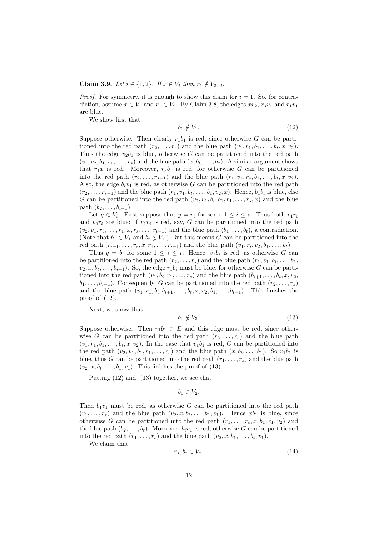Claim 3.9. Let  $i \in \{1,2\}$ . If  $x \in V_i$  then  $r_1 \notin V_{3-i}$ .

*Proof.* For symmetry, it is enough to show this claim for  $i = 1$ . So, for contradiction, assume  $x \in V_1$  and  $r_1 \in V_2$ . By Claim 3.8, the edges  $xv_2, r_sv_1$  and  $r_1v_1$ are blue.

We show first that

$$
b_1 \notin V_1. \tag{12}
$$

Suppose otherwise. Then clearly  $r_1b_1$  is red, since otherwise G can be partitioned into the red path  $(r_2, \ldots, r_s)$  and the blue path  $(v_1, r_1, b_1, \ldots, b_t, x, v_2)$ . Thus the edge  $v_2b_1$  is blue, otherwise G can be partitioned into the red path  $(v_1, v_2, b_1, r_1, \ldots, r_s)$  and the blue path  $(x, b_t, \ldots, b_2)$ . A similar argument shows that  $r_1x$  is red. Moreover,  $r_s b_1$  is red, for otherwise G can be partitioned into the red path  $(r_2, \ldots, r_{s-1})$  and the blue path  $(r_1, v_1, r_s, b_1, \ldots, b_t, x, v_2)$ . Also, the edge  $b_t v_1$  is red, as otherwise G can be partitioned into the red path  $(r_2, \ldots, r_{s-1})$  and the blue path  $(r_1, v_1, b_t, \ldots, b_1, v_2, x)$ . Hence,  $b_1b_t$  is blue, else G can be partitioned into the red path  $(v_2, v_1, b_t, b_1, r_1, \ldots, r_s, x)$  and the blue path  $(b_2, \ldots, b_{t-1})$ .

Let  $y \in V_3$ . First suppose that  $y = r_i$  for some  $1 \leq i \leq s$ . Thus both  $v_1r_i$ and  $v_2r_i$  are blue: if  $v_1r_i$  is red, say, G can be partitioned into the red path  $(v_2, v_1, r_i, \ldots, r_1, x, r_s, \ldots, r_{i-1})$  and the blue path  $(b_1, \ldots, b_t)$ , a contradiction. (Note that  $b_1 \in V_1$  and  $b_t \notin V_1$ .) But this means G can be partitioned into the red path  $(r_{i+1},...,r_s,x,r_1,...,r_{i-1})$  and the blue path  $(v_1,r_i,v_2,b_1,...,b_t)$ .

Thus  $y = b_i$  for some  $1 \leq i \leq t$ . Hence,  $v_1 b_i$  is red, as otherwise G can be partitioned into the red path  $(r_2, \ldots, r_s)$  and the blue path  $(r_1, v_1, b_i, \ldots, b_1,$  $v_2, x, b_t, \ldots, b_{i+1}$ . So, the edge  $r_1b_i$  must be blue, for otherwise G can be partitioned into the red path  $(v_1, b_i, r_1, \ldots, r_s)$  and the blue path  $(b_{i+1}, \ldots, b_t, x, v_2,$  $b_1, \ldots, b_{i-1}$ ). Consequently, G can be partitioned into the red path  $(r_2, \ldots, r_s)$ and the blue path  $(v_1, r_1, b_i, b_{i+1}, \ldots, b_t, x, v_2, b_1, \ldots, b_{i-1})$ . This finishes the proof of (12).

Next, we show that

$$
b_1 \notin V_3. \tag{13}
$$

Suppose otherwise. Then  $r_1b_1 \in E$  and this edge must be red, since otherwise G can be partitioned into the red path  $(r_2, \ldots, r_s)$  and the blue path  $(v_1, r_1, b_1, \ldots, b_t, x, v_2)$ . In the case that  $v_1b_1$  is red, G can be partitioned into the red path  $(v_2, v_1, b_1, r_1, \ldots, r_s)$  and the blue path  $(x, b_t, \ldots, b_1)$ . So  $v_1b_1$  is blue, thus G can be partitioned into the red path  $(r_1, \ldots, r_s)$  and the blue path  $(v_2, x, b_t, \ldots, b_1, v_1)$ . This finishes the proof of (13).

Putting (12) and (13) together, we see that

$$
b_1 \in V_2.
$$

Then  $b_1v_1$  must be red, as otherwise G can be partitioned into the red path  $(r_1, \ldots, r_s)$  and the blue path  $(v_2, x, b_t, \ldots, b_1, v_1)$ . Hence  $xb_1$  is blue, since otherwise G can be partitioned into the red path  $(r_1, \ldots, r_s, x, b_1, v_1, v_2)$  and the blue path  $(b_2, \ldots, b_t)$ . Moreover,  $b_t v_1$  is red, otherwise G can be partitioned into the red path  $(r_1, \ldots, r_s)$  and the blue path  $(v_2, x, b_1, \ldots, b_t, v_1)$ .

We claim that

$$
r_s, b_t \in V_2. \tag{14}
$$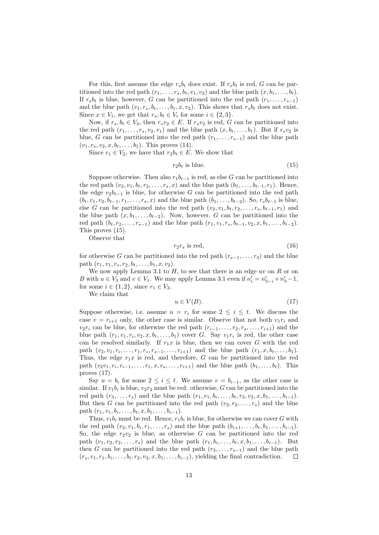For this, first assume the edge  $r_s b_t$  does exist. If  $r_s b_t$  is red, G can be partitioned into the red path  $(r_1, \ldots, r_s, b_t, v_1, v_2)$  and the blue path  $(x, b_1, \ldots, b_t)$ . If  $r_s b_t$  is blue, however, G can be partitioned into the red path  $(r_1, \ldots, r_{s-1})$ and the blue path  $(v_1, r_s, b_t, \ldots, b_1, x, v_2)$ . This shows that  $r_s b_t$  does not exist. Since  $x \in V_1$ , we get that  $r_s, b_t \in V_i$  for some  $i \in \{2, 3\}.$ 

Now, if  $r_s, b_t \in V_3$ , then  $r_s v_2 \in E$ . If  $r_s v_2$  is red, G can be partitioned into the red path  $(r_1, \ldots, r_s, v_2, v_1)$  and the blue path  $(x, b_t, \ldots, b_1)$ . But if  $r_s v_2$  is blue, G can be partitioned into the red path  $(r_1, \ldots, r_{s-1})$  and the blue path  $(v_1, r_s, v_2, x, b_t, \ldots, b_1)$ . This proves (14).

Since  $r_1 \in V_2$ , we have that  $r_2b_t \in E$ . We show that

$$
r_2b_t \text{ is blue.} \tag{15}
$$

Suppose otherwise. Then also  $r_1b_{t-1}$  is red, as else G can be partitioned into the red path  $(v_2, v_1, b_t, r_2, \ldots, r_s, x)$  and the blue path  $(b_1, \ldots, b_{t-1}, r_1)$ . Hence, the edge  $v_2b_{t-1}$  is blue, for otherwise G can be partitioned into the red path  $(b_t, v_1, v_2, b_{t-1}, r_1, \ldots, r_s, x)$  and the blue path  $(b_1, \ldots, b_{t-2})$ . So,  $r_s b_{t-1}$  is blue, else G can be partitioned into the red path  $(v_2, v_1, b_t, r_2, \ldots, r_s, b_{t-1}, r_1)$  and the blue path  $(x, b_1, \ldots, b_{t-2})$ . Now, however, G can be partitioned into the red path  $(b_t, r_2, \ldots, r_{s-1})$  and the blue path  $(r_1, v_1, r_s, b_{t-1}, v_2, x, b_1, \ldots, b_{t-2})$ . This proves (15).

Observe that

$$
r_2r_s \text{ is red},\tag{16}
$$

for otherwise G can be partitioned into the red path  $(r_{s-1}, \ldots, r_3)$  and the blue path  $(r_1, v_1, r_s, r_2, b_t, \ldots, b_1, x, v_2)$ .

We now apply Lemma 3.1 to  $H$ , to see that there is an edge uv on  $R$  or on B with  $u \in V_3$  and  $v \in V_1$ . We may apply Lemma 3.1 even if  $n'_i = n'_{3-i} + n'_3 - 1$ , for some  $i \in \{1,2\}$ , since  $r_1 \in V_2$ .

We claim that

$$
u \in V(B). \tag{17}
$$

Suppose otherwise, i.e. assume  $u = r_i$  for some  $2 \leq i \leq t$ . We discuss the case  $v = r_{i+1}$  only, the other case is similar. Observe that not both  $v_1r_i$  and  $v_2r_i$  can be blue, for otherwise the red path  $(r_{i-1}, \ldots, r_2, r_s, \ldots, r_{i+1})$  and the blue path  $(r_1, v_1, r_i, v_2, x, b_t, \ldots, b_1)$  cover G. Say  $v_1r_i$  is red, the other case can be resolved similarly. If  $r_1x$  is blue, then we can cover G with the red path  $(v_2, v_1, r_i, \ldots, r_1, r_s, r_{s-1}, \ldots, r_{i+1})$  and the blue path  $(r_1, x, b_t, \ldots, b_1)$ . Thus, the edge  $r_1x$  is red, and therefore, G can be partitioned into the red path  $(v_2v_1, r_i, r_{i-1}, \ldots, r_1, x, r_s, \ldots, r_{i+1})$  and the blue path  $(b_1, \ldots, b_t)$ . This proves (17).

Say  $u = b_i$  for some  $2 \le i \le t$ . We assume  $v = b_{i-1}$ , as the other case is similar. If  $v_1b_i$  is blue,  $v_2r_2$  must be red: otherwise, G can be partitioned into the red path  $(r_3, \ldots, r_s)$  and the blue path  $(r_1, v_1, b_i, \ldots, b_t, r_2, v_2, x, b_1, \ldots, b_{i-1})$ . But then G can be partitioned into the red path  $(v_2, r_2, \ldots, r_s)$  and the blue path  $(r_1, v_1, b_i, \ldots, b_t, x, b_1, \ldots, b_{i-1}).$ 

Thus,  $v_1b_i$  must be red. Hence,  $r_1b_i$  is blue, for otherwise we can cover G with the red path  $(v_2, v_1, b_i, r_1, \ldots, r_s)$  and the blue path  $(b_{i+1}, \ldots, b_t, b_1, \ldots, b_{i-1})$ . So, the edge  $r_2v_2$  is blue, as otherwise G can be partitioned into the red path  $(v_1, v_2, r_2, \ldots, r_s)$  and the blue path  $(r_1, b_i, \ldots, b_t, x, b_1, \ldots, b_{i-1})$ . But then G can be partitioned into the red path  $(r_3, \ldots, r_{s-1})$  and the blue path  $(r_s, v_1, r_1, b_i, \ldots, b_t, r_2, v_2, x, b_1, \ldots, b_{i-1}),$  yielding the final contradiction.  $\Box$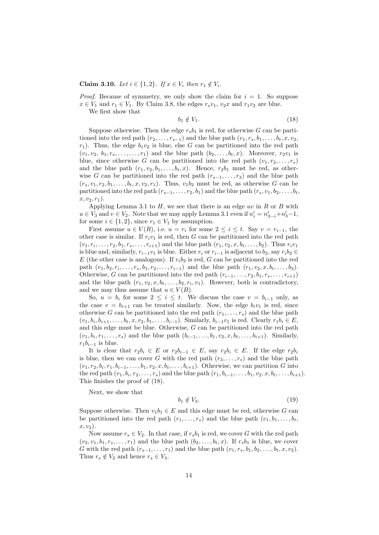#### Claim 3.10. Let  $i \in \{1, 2\}$ . If  $x \in V_i$  then  $r_1 \notin V_i$ .

*Proof.* Because of symmetry, we only show the claim for  $i = 1$ . So suppose  $x \in V_1$  and  $r_1 \in V_1$ . By Claim 3.8, the edges  $r_s v_1$ ,  $v_2 x$  and  $r_1 v_2$  are blue.

We first show that

$$
b_1 \notin V_1. \tag{18}
$$

Suppose otherwise. Then the edge  $r_s b_1$  is red, for otherwise G can be partitioned into the red path  $(r_2, \ldots, r_{s-1})$  and the blue path  $(v_1, r_s, b_1, \ldots, b_t, x, v_2,$  $r_1$ ). Thus, the edge  $b_1v_2$  is blue, else G can be partitioned into the red path  $(v_1, v_2, b_1, r_s, \ldots, r_1)$  and the blue path  $(b_2, \ldots, b_t, x)$ . Moreover,  $r_2v_1$  is blue, since otherwise G can be partitioned into the red path  $(v_1, r_2, \ldots, r_s)$ and the blue path  $(r_1, v_2, b_1, \ldots, b_t, x)$ . Hence,  $r_2b_1$  must be red, as otherwise G can be partitioned into the red path  $(r_{s-1}, \ldots, r_3)$  and the blue path  $(r_s, v_1, r_2, b_1, \ldots, b_t, x, v_2, r_1)$ . Thus,  $v_1b_2$  must be red, as otherwise G can be partitioned into the red path  $(r_{s-1}, \ldots, r_2, b_1)$  and the blue path  $(r_s, v_1, b_2, \ldots, b_t, c_t)$  $x, v_2, r_1$ ).

Applying Lemma 3.1 to  $H$ , we see that there is an edge uv in  $R$  or  $B$  with  $u \in V_3$  and  $v \in V_2$ . Note that we may apply Lemma 3.1 even if  $n'_i = n'_{3-i} + n'_3 - 1$ , for some  $i \in \{1, 2\}$ , since  $r_1 \in V_1$  by assumption.

First assume  $u \in V(R)$ , i.e.  $u = r_i$  for some  $2 \leq i \leq t$ . Say  $v = r_{i-1}$ , the other case is similar. If  $r_i v_1$  is red, then G can be partitioned into the red path  $(v_1, r_i, \ldots, r_2, b_1, r_s, \ldots, r_{i+1})$  and the blue path  $(r_1, v_2, x, b_t, \ldots, b_2)$ . Thus  $r_i v_1$ is blue and, similarly,  $r_{i-1}v_1$  is blue. Either  $r_i$  or  $r_{i-1}$  is adjacent to  $b_2$ , say  $r_ib_2 \in$ E (the other case is analogous). If  $r_i b_2$  is red, G can be partitioned into the red path  $(v_1, b_2, r_i, \ldots, r_s, b_1, r_2, \ldots, r_{i-1})$  and the blue path  $(r_1, v_2, x, b_t, \ldots, b_3)$ . Otherwise, G can be partitioned into the red path  $(r_{i-1}, \ldots, r_2, b_1, r_s, \ldots, r_{i+1})$ and the blue path  $(r_1, v_2, x, b_t, \ldots, b_2, r_i, v_1)$ . However, both is contradictory, and we may thus assume that  $u \in V(B)$ .

So,  $u = b_i$  for some  $2 \leq i \leq t$ . We discuss the case  $v = b_{i-1}$  only, as the case  $v = b_{i+1}$  can be treated similarly. Now, the edge  $b_i v_1$  is red, since otherwise G can be partitioned into the red path  $(r_1, \ldots, r_s)$  and the blue path  $(v_1, b_i, b_{i+1}, \ldots, b_t, x, v_2, b_1, \ldots, b_{i-1})$ . Similarly,  $b_{i-1}v_1$  is red. Clearly  $r_1b_i \in E$ , and this edge must be blue. Otherwise, G can be partitioned into the red path  $(v_1, b_i, r_1, \ldots, r_s)$  and the blue path  $(b_{i-1}, \ldots, b_1, v_2, x, b_t, \ldots, b_{i+1})$ . Similarly,  $r_1b_{i-1}$  is blue.

It is clear that  $r_2b_i \in E$  or  $r_2b_{i-1} \in E$ , say  $r_2b_i \in E$ . If the edge  $r_2b_i$ is blue, then we can cover G with the red path  $(r_3, \ldots, r_s)$  and the blue path  $(v_1, r_2, b_i, r_1, b_{i-1}, \ldots, b_1, v_2, x, b_t, \ldots, b_{i+1})$ . Otherwise, we can partition G into the red path  $(v_1, b_i, r_2, \ldots, r_s)$  and the blue path  $(r_1, b_{i-1}, \ldots, b_1, v_2, x, b_t, \ldots, b_{i+1})$ . This finishes the proof of (18).

Next, we show that

$$
b_1 \notin V_3. \tag{19}
$$

Suppose otherwise. Then  $v_1b_1 \in E$  and this edge must be red, otherwise G can be partitioned into the red path  $(r_1, \ldots, r_s)$  and the blue path  $(v_1, b_1, \ldots, b_t,$  $x, v<sub>2</sub>$ ).

Now assume  $r_s \in V_2$ . In that case, if  $r_s b_1$  is red, we cover G with the red path  $(v_2, v_1, b_1, r_s, \ldots, r_1)$  and the blue path  $(b_2, \ldots, b_t, x)$ . If  $r_s b_1$  is blue, we cover G with the red path  $(r_{s-1}, \ldots, r_1)$  and the blue path  $(v_1, r_s, b_1, b_2, \ldots, b_t, x, v_2)$ . Thus  $r_s \notin V_2$  and hence  $r_s \in V_3$ .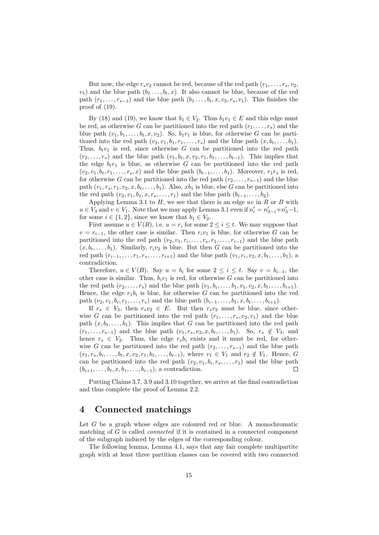But now, the edge  $r_s v_2$  cannot be red, because of the red path  $(r_1, \ldots, r_s, v_2,$  $v_1$ ) and the blue path  $(b_1 \ldots, b_t, x)$ . It also cannot be blue, because of the red path  $(r_1, \ldots, r_{s-1})$  and the blue path  $(b_1, \ldots, b_t, x, v_2, r_s, v_1)$ . This finishes the proof of (19).

By (18) and (19), we know that  $b_1 \in V_2$ . Thus  $b_1v_1 \in E$  and this edge must be red, as otherwise G can be partitioned into the red path  $(r_1, \ldots, r_s)$  and the blue path  $(v_1, b_1, \ldots, b_t, x, v_2)$ . So,  $b_1r_1$  is blue, for otherwise G can be partitioned into the red path  $(v_2, v_1, b_1, r_1, \ldots, r_s)$  and the blue path  $(x, b_t, \ldots, b_1)$ . Thus,  $b_t v_1$  is red, since otherwise G can be partitioned into the red path  $(r_2, \ldots, r_s)$  and the blue path  $(v_1, b_t, x, v_2, r_1, b_1, \ldots, b_{t-1})$ . This implies that the edge  $b_t r_1$  is blue, as otherwise G can be partitioned into the red path  $(v_2, v_1, b_t, r_1, \ldots, r_s, x)$  and the blue path  $(b_{t-1}, \ldots, b_1)$ . Moreover,  $r_1r_s$  is red, for otherwise G can be partitioned into the red path  $(r_2, \ldots, r_{s-1})$  and the blue path  $(v_1, r_s, r_1, v_2, x, b_t, \ldots, b_1)$ . Also,  $xb_1$  is blue, else G can be partitioned into the red path  $(v_2, v_1, b_1, x, r_s, \ldots, r_1)$  and the blue path  $(b_{t-1}, \ldots, b_2)$ .

Applying Lemma 3.1 to  $H$ , we see that there is an edge uv in  $R$  or  $B$  with  $u \in V_3$  and  $v \in V_1$ . Note that we may apply Lemma 3.1 even if  $n'_i = n'_{3-i} + n'_3 - 1$ , for some  $i \in \{1, 2\}$ , since we know that  $b_1 \in V_2$ .

First assume  $u \in V(R)$ , i.e.  $u = r_i$  for some  $2 \leq i \leq t$ . We may suppose that  $v = r_{i-1}$ , the other case is similar. Then  $r_i v_1$  is blue, for otherwise G can be partitioned into the red path  $(v_2, v_1, r_i, \ldots, r_s, r_1, \ldots, r_{i-1})$  and the blue path  $(x, b_t, \ldots, b_1)$ . Similarly,  $r_i v_2$  is blue. But then G can be partitioned into the red path  $(r_{i-1},...,r_1,r_s,...,r_{i+1})$  and the blue path  $(v_1,r_i,v_2,x,b_t,...,b_1)$ , a contradiction.

Therefore,  $u \in V(B)$ . Say  $u = b_i$  for some  $2 \leq i \leq t$ . Say  $v = b_{i-1}$ , the other case is similar. Thus,  $b_i v_1$  is red, for otherwise G can be partitioned into the red path  $(r_2, ..., r_s)$  and the blue path  $(v_1, b_i, ..., b_1, r_1, v_2, x, b_t, ..., b_{i+1})$ . Hence, the edge  $r_1b_i$  is blue, for otherwise G can be partitioned into the red path  $(v_2, v_1, b_i, r_1, \ldots, r_s)$  and the blue path  $(b_{i-1}, \ldots, b_1, x, b_t, \ldots, b_{i+1})$ .

If  $r_s \in V_3$ , then  $r_s v_2 \in E$ . But then  $r_s v_2$  must be blue, since otherwise G can be partitioned into the red path  $(r_1, \ldots, r_s, v_2, v_1)$  and the blue path  $(x, b_t, \ldots, b_1)$ . This implies that G can be partitioned into the red path  $(r_1, \ldots, r_{s-1})$  and the blue path  $(v_1, r_s, v_2, x, b_t, \ldots, b_1)$ . So,  $r_s \notin V_3$ , and hence  $r_s \in V_2$ . Thus, the edge  $r_s b_i$  exists and it must be red, for otherwise G can be partitioned into the red path  $(r_2, \ldots, r_{s-1})$  and the blue path  $(v_1, r_s, b_i, \ldots, b_t, x, v_2, r_1, b_1, \ldots, b_{i-1}),$  where  $v_1 \in V_1$  and  $r_2 \notin V_1$ . Hence, G can be partitioned into the red path  $(v_2, v_1, b_i, r_s, \ldots, r_1)$  and the blue path  $(b_{i+1}, \ldots, b_t, x, b_1, \ldots, b_{i-1})$ , a contradiction.  $\Box$ 

Putting Claims 3.7, 3.9 and 3.10 together, we arrive at the final contradiction and thus complete the proof of Lemma 2.2.

### 4 Connected matchings

Let  $G$  be a graph whose edges are coloured red or blue. A monochromatic matching of  $G$  is called *connected* if it is contained in a connected component of the subgraph induced by the edges of the corresponding colour.

The following lemma, Lemma 4.1, says that any fair complete multipartite graph with at least three partition classes can be covered with two connected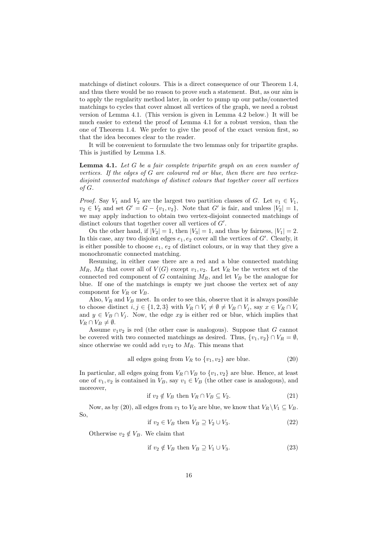matchings of distinct colours. This is a direct consequence of our Theorem 1.4, and thus there would be no reason to prove such a statement. But, as our aim is to apply the regularity method later, in order to pump up our paths/connected matchings to cycles that cover almost all vertices of the graph, we need a robust version of Lemma 4.1. (This version is given in Lemma 4.2 below.) It will be much easier to extend the proof of Lemma 4.1 for a robust version, than the one of Theorem 1.4. We prefer to give the proof of the exact version first, so that the idea becomes clear to the reader.

It will be convenient to formulate the two lemmas only for tripartite graphs. This is justified by Lemma 1.8.

**Lemma 4.1.** Let  $G$  be a fair complete tripartite graph on an even number of vertices. If the edges of G are coloured red or blue, then there are two vertexdisjoint connected matchings of distinct colours that together cover all vertices of G.

*Proof.* Say  $V_1$  and  $V_2$  are the largest two partition classes of G. Let  $v_1 \in V_1$ ,  $v_2 \in V_2$  and set  $G' = G - \{v_1, v_2\}$ . Note that  $G'$  is fair, and unless  $|V_2| = 1$ , we may apply induction to obtain two vertex-disjoint connected matchings of distinct colours that together cover all vertices of  $G'$ .

On the other hand, if  $|V_2| = 1$ , then  $|V_3| = 1$ , and thus by fairness,  $|V_1| = 2$ . In this case, any two disjoint edges  $e_1, e_2$  cover all the vertices of  $G'$ . Clearly, it is either possible to choose  $e_1, e_2$  of distinct colours, or in way that they give a monochromatic connected matching.

Resuming, in either case there are a red and a blue connected matching  $M_R$ ,  $M_B$  that cover all of  $V(G)$  except  $v_1, v_2$ . Let  $V_R$  be the vertex set of the connected red component of G containing  $M_R$ , and let  $V_B$  be the analogue for blue. If one of the matchings is empty we just choose the vertex set of any component for  $V_R$  or  $V_B$ .

Also,  $V_R$  and  $V_B$  meet. In order to see this, observe that it is always possible to choose distinct  $i, j \in \{1, 2, 3\}$  with  $V_R \cap V_i \neq \emptyset \neq V_B \cap V_j$ , say  $x \in V_R \cap V_i$ and  $y \in V_B \cap V_j$ . Now, the edge xy is either red or blue, which implies that  $V_R \cap V_B \neq \emptyset$ .

Assume  $v_1v_2$  is red (the other case is analogous). Suppose that G cannot be covered with two connected matchings as desired. Thus,  $\{v_1, v_2\} \cap V_R = \emptyset$ , since otherwise we could add  $v_1v_2$  to  $M_R$ . This means that

all edges going from 
$$
V_R
$$
 to  $\{v_1, v_2\}$  are blue. (20)

In particular, all edges going from  $V_R \cap V_B$  to  $\{v_1, v_2\}$  are blue. Hence, at least one of  $v_1, v_2$  is contained in  $V_B$ , say  $v_1 \in V_B$  (the other case is analogous), and moreover,

$$
\text{if } v_2 \notin V_B \text{ then } V_R \cap V_B \subseteq V_2. \tag{21}
$$

Now, as by (20), all edges from  $v_1$  to  $V_R$  are blue, we know that  $V_R \backslash V_1 \subseteq V_B$ . So,

$$
\text{if } v_2 \in V_B \text{ then } V_B \supseteq V_2 \cup V_3. \tag{22}
$$

Otherwise  $v_2 \notin V_B$ . We claim that

$$
\text{if } v_2 \notin V_B \text{ then } V_B \supseteq V_1 \cup V_3. \tag{23}
$$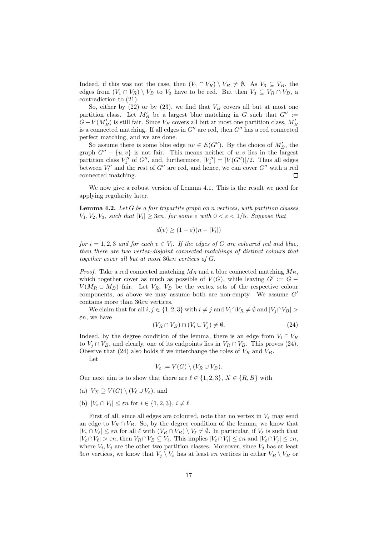Indeed, if this was not the case, then  $(V_1 \cap V_R) \setminus V_B \neq \emptyset$ . As  $V_3 \subseteq V_B$ , the edges from  $(V_1 \cap V_R) \setminus V_B$  to  $V_3$  have to be red. But then  $V_3 \subseteq V_R \cap V_B$ , a contradiction to (21).

So, either by  $(22)$  or by  $(23)$ , we find that  $V_B$  covers all but at most one partition class. Let  $M'_B$  be a largest blue matching in G such that  $G'' :=$  $G-V(M'_B)$  is still fair. Since  $V_B$  covers all but at most one partition class,  $M'_B$ is a connected matching. If all edges in  $G''$  are red, then  $G''$  has a red connected perfect matching, and we are done.

So assume there is some blue edge  $uv \in E(G'')$ . By the choice of  $M'_{B}$ , the graph  $G'' - \{u, v\}$  is not fair. This means neither of  $u, v$  lies in the largest partition class  $V''_1$  of  $G''$ , and, furthermore,  $|V''_1| = |V(G'')|/2$ . Thus all edges between  $V''_1$  and the rest of  $G''$  are red, and hence, we can cover  $G''$  with a red connected matching.  $\Box$ 

We now give a robust version of Lemma 4.1. This is the result we need for applying regularity later.

**Lemma 4.2.** Let  $G$  be a fair tripartite graph on n vertices, with partition classes  $V_1, V_2, V_3$ , such that  $|V_i| \geq 3\varepsilon n$ , for some  $\varepsilon$  with  $0 < \varepsilon < 1/5$ . Suppose that

$$
d(v) \ge (1 - \varepsilon)(n - |V_i|)
$$

for  $i = 1, 2, 3$  and for each  $v \in V_i$ . If the edges of G are coloured red and blue, then there are two vertex-disjoint connected matchings of distinct colours that together cover all but at most 36εn vertices of G.

*Proof.* Take a red connected matching  $M_R$  and a blue connected matching  $M_B$ , which together cover as much as possible of  $V(G)$ , while leaving  $G' := G V(M_B \cup M_B)$  fair. Let  $V_B$ ,  $V_B$  be the vertex sets of the respective colour components, as above we may assume both are non-empty. We assume  $G'$ contains more than 36εn vertices.

We claim that for all  $i, j \in \{1, 2, 3\}$  with  $i \neq j$  and  $V_i \cap V_R \neq \emptyset$  and  $|V_i \cap V_B| >$  $\varepsilon n$ , we have

$$
(V_R \cap V_B) \cap (V_i \cup V_j) \neq \emptyset. \tag{24}
$$

Indeed, by the degree condition of the lemma, there is an edge from  $V_i \cap V_R$ to  $V_i \cap V_B$ , and clearly, one of its endpoints lies in  $V_R \cap V_B$ . This proves (24). Observe that (24) also holds if we interchange the roles of  $V_R$  and  $V_B$ .

Let

$$
V_{\varepsilon} := V(G) \setminus (V_R \cup V_B).
$$

Our next aim is to show that there are  $\ell \in \{1, 2, 3\}, X \in \{R, B\}$  with

- (a)  $V_X \supseteq V(G) \setminus (V_{\ell} \cup V_{\varepsilon})$ , and
- (b)  $|V_{\varepsilon} \cap V_i| \leq \varepsilon n$  for  $i \in \{1, 2, 3\}, i \neq \ell$ .

First of all, since all edges are coloured, note that no vertex in  $V_{\varepsilon}$  may send an edge to  $V_R \cap V_B$ . So, by the degree condition of the lemma, we know that  $|V_{\varepsilon} \cap V_{\ell}| \leq \varepsilon n$  for all  $\ell$  with  $(V_R \cap V_B) \setminus V_{\ell} \neq \emptyset$ . In particular, if  $V_{\ell}$  is such that  $|V_{\varepsilon} \cap V_{\ell}| > \varepsilon n$ , then  $V_R \cap V_B \subseteq V_{\ell}$ . This implies  $|V_{\varepsilon} \cap V_i| \leq \varepsilon n$  and  $|V_{\varepsilon} \cap V_j| \leq \varepsilon n$ , where  $V_i, V_j$  are the other two partition classes. Moreover, since  $V_j$  has at least 3εn vertices, we know that  $V_j \setminus V_{\varepsilon}$  has at least  $\varepsilon n$  vertices in either  $V_R \setminus V_B$  or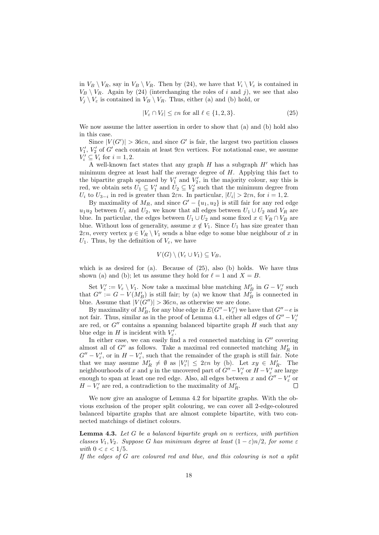in  $V_B \setminus V_R$ , say in  $V_B \setminus V_R$ . Then by (24), we have that  $V_i \setminus V_{\varepsilon}$  is contained in  $V_B \setminus V_R$ . Again by (24) (interchanging the roles of i and j), we see that also  $V_i \setminus V_{\varepsilon}$  is contained in  $V_B \setminus V_R$ . Thus, either (a) and (b) hold, or

$$
|V_{\varepsilon} \cap V_{\ell}| \leq \varepsilon n \text{ for all } \ell \in \{1, 2, 3\}. \tag{25}
$$

We now assume the latter assertion in order to show that (a) and (b) hold also in this case.

Since  $|V(G')| > 36\varepsilon n$ , and since G' is fair, the largest two partition classes  $V'_1$ ,  $V'_2$  of G' each contain at least  $9\varepsilon n$  vertices. For notational ease, we assume  $V'_i \subseteq V_i$  for  $i = 1, 2$ .

A well-known fact states that any graph  $H$  has a subgraph  $H'$  which has minimum degree at least half the average degree of  $H$ . Applying this fact to the bipartite graph spanned by  $V'_1$  and  $V'_2$ , in the majority colour, say this is red, we obtain sets  $U_1 \subseteq V'_1$  and  $U_2 \subseteq V'_2$  such that the minimum degree from  $U_i$  to  $U_{3-i}$  in red is greater than  $2\varepsilon n$ . In particular,  $|U_i| > 2\varepsilon n$ , for  $i = 1, 2$ .

By maximality of  $M_R$ , and since  $G' - \{u_1, u_2\}$  is still fair for any red edge  $u_1u_2$  between  $U_1$  and  $U_2$ , we know that all edges between  $U_1 \cup U_2$  and  $V_R$  are blue. In particular, the edges between  $U_1 \cup U_2$  and some fixed  $x \in V_R \cap V_B$  are blue. Without loss of generality, assume  $x \notin V_1$ . Since  $U_1$  has size greater than 2*εn*, every vertex  $y \in V_R \setminus V_1$  sends a blue edge to some blue neighbour of x in  $U_1$ . Thus, by the definition of  $V_\varepsilon$ , we have

$$
V(G) \setminus (V_{\varepsilon} \cup V_1) \subseteq V_B,
$$

which is as desired for (a). Because of  $(25)$ , also (b) holds. We have thus shown (a) and (b); let us assume they hold for  $\ell = 1$  and  $X = B$ .

Set  $V'_{\varepsilon} := V_{\varepsilon} \setminus V_1$ . Now take a maximal blue matching  $M'_{B}$  in  $G - V'_{\varepsilon}$  such that  $G'' := G - V(M'_B)$  is still fair; by (a) we know that  $M'_B$  is connected in blue. Assume that  $|V(G'')| > 36\varepsilon n$ , as otherwise we are done.

By maximality of  $M'_B$ , for any blue edge in  $E(G''-V'_\varepsilon)$  we have that  $G''-e$  is not fair. Thus, similar as in the proof of Lemma 4.1, either all edges of  $G'' - V'_{\varepsilon}$ are red, or  $G''$  contains a spanning balanced bipartite graph  $H$  such that any blue edge in H is incident with  $V'_{\varepsilon}$ .

In either case, we can easily find a red connected matching in  $G''$  covering almost all of  $G''$  as follows. Take a maximal red connected matching  $M'_R$  in  $G'' - V'_{\varepsilon}$ , or in  $H - V'_{\varepsilon}$ , such that the remainder of the graph is still fair. Note that we may assume  $M'_R \neq \emptyset$  as  $|V'_\varepsilon| \leq 2\varepsilon n$  by (b). Let  $xy \in M'_R$ . The neighbourhoods of x and y in the uncovered part of  $G'' - V'_{\varepsilon}$  or  $H - V'_{\varepsilon}$  are large enough to span at least one red edge. Also, all edges between x and  $G''-V'_\varepsilon$  or  $H - V'_{\varepsilon}$  are red, a contradiction to the maximality of  $M'_{R}$ .

We now give an analogue of Lemma 4.2 for bipartite graphs. With the obvious exclusion of the proper split colouring, we can cover all 2-edge-coloured balanced bipartite graphs that are almost complete bipartite, with two connected matchings of distinct colours.

**Lemma 4.3.** Let  $G$  be a balanced bipartite graph on  $n$  vertices, with partition classes  $V_1, V_2$ . Suppose G has minimum degree at least  $(1 - \varepsilon)n/2$ , for some  $\varepsilon$ with  $0 < \varepsilon < 1/5$ .

If the edges of  $G$  are coloured red and blue, and this colouring is not a split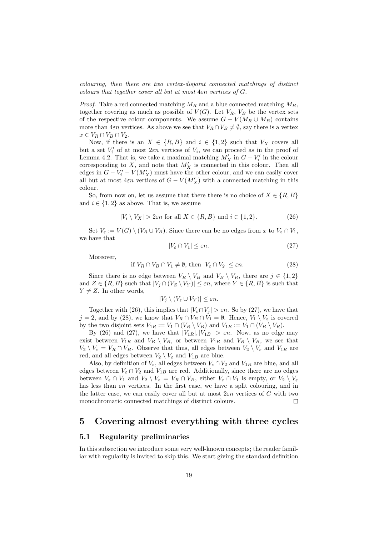colouring, then there are two vertex-disjoint connected matchings of distinct colours that together cover all but at most  $4\varepsilon n$  vertices of  $G$ .

*Proof.* Take a red connected matching  $M_R$  and a blue connected matching  $M_B$ , together covering as much as possible of  $V(G)$ . Let  $V_R$ ,  $V_B$  be the vertex sets of the respective colour components. We assume  $G - V(M_R \cup M_B)$  contains more than  $4\varepsilon n$  vertices. As above we see that  $V_R \cap V_B \neq \emptyset$ , say there is a vertex  $x \in V_R \cap V_B \cap V_2$ .

Now, if there is an  $X \in \{R, B\}$  and  $i \in \{1, 2\}$  such that  $V_X$  covers all but a set  $V_i'$  of at most  $2\varepsilon n$  vertices of  $V_i$ , we can proceed as in the proof of Lemma 4.2. That is, we take a maximal matching  $M'_X$  in  $G - V'_i$  in the colour corresponding to  $X$ , and note that  $M'_X$  is connected in this colour. Then all edges in  $G - V_i' - V(M_X')$  must have the other colour, and we can easily cover all but at most  $4\varepsilon n$  vertices of  $G - V(M_X')$  with a connected matching in this colour.

So, from now on, let us assume that there there is no choice of  $X \in \{R, B\}$ and  $i \in \{1,2\}$  as above. That is, we assume

$$
|V_i \setminus V_X| > 2\varepsilon n \text{ for all } X \in \{R, B\} \text{ and } i \in \{1, 2\}. \tag{26}
$$

Set  $V_{\varepsilon} := V(G) \setminus (V_R \cup V_B)$ . Since there can be no edges from x to  $V_{\varepsilon} \cap V_1$ , we have that

$$
|V_{\varepsilon} \cap V_1| \le \varepsilon n. \tag{27}
$$

Moreover,

$$
\text{if } V_R \cap V_B \cap V_1 \neq \emptyset \text{, then } |V_{\varepsilon} \cap V_2| \leq \varepsilon n. \tag{28}
$$

Since there is no edge between  $V_R \setminus V_B$  and  $V_B \setminus V_B$ , there are  $j \in \{1,2\}$ and  $Z \in \{R, B\}$  such that  $|V_j \cap (V_Z \setminus V_Y)| \leq \varepsilon n$ , where  $Y \in \{R, B\}$  is such that  $Y \neq Z$ . In other words,

$$
|V_j \setminus (V_{\varepsilon} \cup V_Y)| \leq \varepsilon n.
$$

Together with (26), this implies that  $|V_{\varepsilon} \cap V_i| > \varepsilon n$ . So by (27), we have that  $j = 2$ , and by (28), we know that  $V_R \cap V_B \cap V_1 = \emptyset$ . Hence,  $V_1 \setminus V_{\varepsilon}$  is covered by the two disjoint sets  $V_{1R} := V_1 \cap (V_R \setminus V_B)$  and  $V_{1B} := V_1 \cap (V_B \setminus V_R)$ .

By (26) and (27), we have that  $|V_{1R}|, |V_{1B}| > \varepsilon n$ . Now, as no edge may exist between  $V_{1R}$  and  $V_B \setminus V_R$ , or between  $V_{1B}$  and  $V_R \setminus V_B$ , we see that  $V_2 \setminus V_{\varepsilon} = V_R \cap V_B$ . Observe that thus, all edges between  $V_2 \setminus V_{\varepsilon}$  and  $V_{1R}$  are red, and all edges between  $V_2 \setminus V_{\varepsilon}$  and  $V_{1B}$  are blue.

Also, by definition of  $V_{\varepsilon}$ , all edges between  $V_{\varepsilon} \cap V_2$  and  $V_{1R}$  are blue, and all edges between  $V_{\varepsilon} \cap V_2$  and  $V_{1B}$  are red. Additionally, since there are no edges between  $V_{\varepsilon} \cap V_1$  and  $V_2 \setminus V_{\varepsilon} = V_R \cap V_B$ , either  $V_{\varepsilon} \cap V_1$  is empty, or  $V_2 \setminus V_{\varepsilon}$ has less than  $\varepsilon n$  vertices. In the first case, we have a split colouring, and in the latter case, we can easily cover all but at most  $2\varepsilon n$  vertices of G with two monochromatic connected matchings of distinct colours.  $\Box$ 

### 5 Covering almost everything with three cycles

#### 5.1 Regularity preliminaries

In this subsection we introduce some very well-known concepts; the reader familiar with regularity is invited to skip this. We start giving the standard definition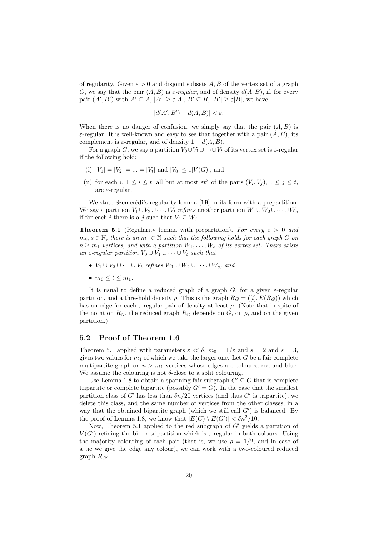of regularity. Given  $\varepsilon > 0$  and disjoint subsets A, B of the vertex set of a graph G, we say that the pair  $(A, B)$  is  $\varepsilon$ -regular, and of density  $d(A, B)$ , if, for every pair  $(A', B')$  with  $A' \subseteq A$ ,  $|A'| \geq \varepsilon |A|$ ,  $B' \subseteq B$ ,  $|B'| \geq \varepsilon |B|$ , we have

$$
|d(A', B') - d(A, B)| < \varepsilon.
$$

When there is no danger of confusion, we simply say that the pair  $(A, B)$  is  $\varepsilon$ -regular. It is well-known and easy to see that together with a pair  $(A, B)$ , its complement is  $\varepsilon$ -regular, and of density  $1 - d(A, B)$ .

For a graph G, we say a partition  $V_0 \cup V_1 \cup \cdots \cup V_t$  of its vertex set is  $\varepsilon$ -regular if the following hold:

- (i)  $|V_1| = |V_2| = ... = |V_t|$  and  $|V_0| \le \varepsilon |V(G)|$ , and
- (ii) for each  $i, 1 \leq i \leq t$ , all but at most  $\epsilon t^2$  of the pairs  $(V_i, V_j), 1 \leq j \leq t$ , are  $\varepsilon$ -regular.

We state Szemerédi's regularity lemma [19] in its form with a prepartition. We say a partition  $V_1 \cup V_2 \cup \cdots \cup V_t$  refines another partition  $W_1 \cup W_2 \cup \cdots \cup W_s$ if for each i there is a j such that  $V_i \subseteq W_j$ .

**Theorem 5.1** (Regularity lemma with prepartition). For every  $\varepsilon > 0$  and  $m_0, s \in \mathbb{N}$ , there is an  $m_1 \in \mathbb{N}$  such that the following holds for each graph G on  $n \geq m_1$  vertices, and with a partition  $W_1, \ldots, W_s$  of its vertex set. There exists an  $\varepsilon$ -regular partition  $V_0 \cup V_1 \cup \cdots \cup V_t$  such that

- $V_1 \cup V_2 \cup \cdots \cup V_t$  refines  $W_1 \cup W_2 \cup \cdots \cup W_s$ , and
- $m_0 < t < m_1$ .

It is usual to define a reduced graph of a graph G, for a given  $\varepsilon$ -regular partition, and a threshold density  $\rho$ . This is the graph  $R_G = ([t], E(R_G))$  which has an edge for each  $\varepsilon$ -regular pair of density at least  $\rho$ . (Note that in spite of the notation  $R_G$ , the reduced graph  $R_G$  depends on  $G$ , on  $\rho$ , and on the given partition.)

#### 5.2 Proof of Theorem 1.6

Theorem 5.1 applied with parameters  $\varepsilon \ll \delta$ ,  $m_0 = 1/\varepsilon$  and  $s = 2$  and  $s = 3$ , gives two values for  $m_1$  of which we take the larger one. Let G be a fair complete multipartite graph on  $n > m_1$  vertices whose edges are coloured red and blue. We assume the colouring is not  $\delta$ -close to a split colouring.

Use Lemma 1.8 to obtain a spanning fair subgraph  $G' \subseteq G$  that is complete tripartite or complete bipartite (possibly  $G' = G$ ). In the case that the smallest partition class of G' has less than  $\delta n/20$  vertices (and thus G' is tripartite), we delete this class, and the same number of vertices from the other classes, in a way that the obtained bipartite graph (which we still call  $G'$ ) is balanced. By the proof of Lemma 1.8, we know that  $|E(G) \setminus E(G')| < \delta n^2/10$ .

Now, Theorem 5.1 applied to the red subgraph of  $G'$  yields a partition of  $V(G')$  refining the bi- or tripartition which is  $\varepsilon$ -regular in both colours. Using the majority colouring of each pair (that is, we use  $\rho = 1/2$ , and in case of a tie we give the edge any colour), we can work with a two-coloured reduced graph  $R_{G'}$ .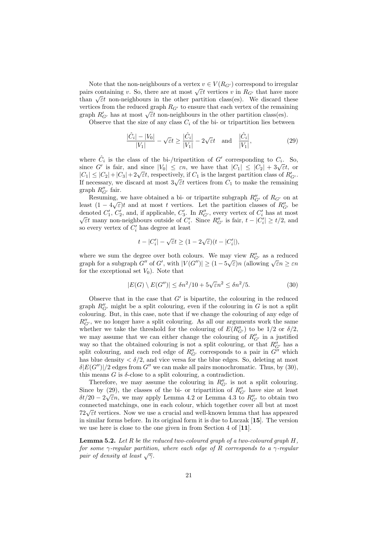Note that the non-neighbours of a vertex  $v \in V(R_{G})$  correspond to irregular pairs containing v. So, there are at most  $\sqrt{\varepsilon}t$  vertices v in  $R_{G'}$  that have more pairs containing v. so, there are at most  $\sqrt{\varepsilon}t$  vertices v in  $n_{G'}$  that have more<br>than  $\sqrt{\varepsilon}t$  non-neighbours in the other partition class(es). We discard these vertices from the reduced graph  $R_{G'}$  to ensure that each vertex of the remaining vertices from the reduced graph  $R_{G'}$  to ensure that each vertex of the remain graph  $R'_{G'}$  has at most  $\sqrt{\varepsilon}t$  non-neighbours in the other partition class(es).

Observe that the size of any class  $C_i$  of the bi- or tripartition lies between

$$
\frac{|\hat{C}_i| - |V_0|}{|V_1|} - \sqrt{\varepsilon}t \ge \frac{|\hat{C}_i|}{|V_1|} - 2\sqrt{\varepsilon}t \quad \text{and} \quad \frac{|\hat{C}_i|}{|V_1|},\tag{29}
$$

where  $\hat{C}_i$  is the class of the bi-/tripartition of G' corresponding to  $C_i$ . So, where  $C_i$  is the class of the DI-/tripartition of G corresponding to  $C_i$ . So,<br>since G' is fair, and since  $|V_0| \leq \varepsilon n$ , we have that  $|C_1| \leq |C_2| + 3\sqrt{\varepsilon}t$ , or since G is fail, and since  $|V_0| \le \varepsilon n$ , we have that  $|C_1| \le |C_2| + 3\sqrt{\varepsilon}t$ , or  $|C_1| \le |C_2| + |C_3| + 2\sqrt{\varepsilon}t$ , respectively, if  $C_1$  is the largest partition class of  $R'_{G'}$ .  $|C_1| \ge |C_2| + |C_3| + 2\sqrt{\epsilon}t$ , respectively, if  $C_1$  is the largest partition class of  $n_{G'}$ .<br>If necessary, we discard at most  $3\sqrt{\epsilon}t$  vertices from  $C_1$  to make the remaining graph  $R''_{G'}$  fair.

Resuming, we have obtained a bi- or tripartite subgraph  $R_{G'}''$  of  $R_{G'}$  on at least  $(1 - 4\sqrt{\varepsilon})t$  and at most t vertices. Let the partition classes of  $R''_{G'}$  be denoted  $C'_1$ ,  $C'_2$ , and, if applicable,  $C'_3$ . In  $R''_{G'}$ , every vertex of  $C'_i$  has at most  $\overline{\epsilon}t$  many non-neighbours outside of  $C_i'$ . Since  $R_{G'}''$  is fair,  $t - |C_i'| \ge t/2$ , and so every vertex of  $C_i'$  has degree at least

$$
t - |C_i'| - \sqrt{\varepsilon}t \ge (1 - 2\sqrt{\varepsilon})(t - |C_i'|),
$$

where we sum the degree over both colours. We may view  $R''_{G'}$  as a reduced where we sum the degree over both colours. We may view  $n_G$ , as a reduced graph for a subgraph G'' of G', with  $|V(G'')| \ge (1 - 5\sqrt{\varepsilon})n$  (allowing  $\sqrt{\varepsilon}n \ge \varepsilon n$ ) for the exceptional set  $V_0$ ). Note that

$$
|E(G) \setminus E(G'')| \le \delta n^2 / 10 + 5\sqrt{\varepsilon} n^2 \le \delta n^2 / 5.
$$
 (30)

Observe that in the case that  $G'$  is bipartite, the colouring in the reduced graph  $R''_{G'}$  might be a split colouring, even if the colouring in G is not a split colouring. But, in this case, note that if we change the colouring of any edge of  $R_{G^\prime}^{\prime\prime}$  , we no longer have a split colouring. As all our arguments work the same whether we take the threshold for the colouring of  $E(R''_{G'})$  to be 1/2 or  $\delta/2$ , we may assume that we can either change the colouring of  $R''_{G'}$  in a justified way so that the obtained colouring is not a split colouring, or that  $R''_{G'}$  has a split colouring, and each red edge of  $R''_{G'}$  corresponds to a pair in  $G''$  which has blue density  $\langle \delta/2$ , and vice versa for the blue edges. So, deleting at most  $\delta |E(G'')|/2$  edges from  $G''$  we can make all pairs monochromatic. Thus, by (30), this means  $G$  is  $\delta$ -close to a split colouring, a contradiction.

Therefore, we may assume the colouring in  $R''_{G'}$  is not a split colouring. Since by (29), the classes of the bi- or tripartition of  $R''_{G'}$  have size at least  $\delta t/20 - 2\sqrt{\varepsilon}n$ , we may apply Lemma 4.2 or Lemma 4.3 to  $R''_{G'}$  to obtain two connected matchings, one in each colour, which together cover all but at most  $72\sqrt{\varepsilon}t$  vertices. Now we use a crucial and well-known lemma that has appeared in similar forms before. In its original form it is due to Luczak [15]. The version we use here is close to the one given in from Section 4 of [11].

**Lemma 5.2.** Let R be the reduced two-coloured graph of a two-coloured graph  $H$ , for some  $\gamma$ -regular partition, where each edge of R corresponds to a  $\gamma$ -regular pair of density at least  $\sqrt{\gamma}$ .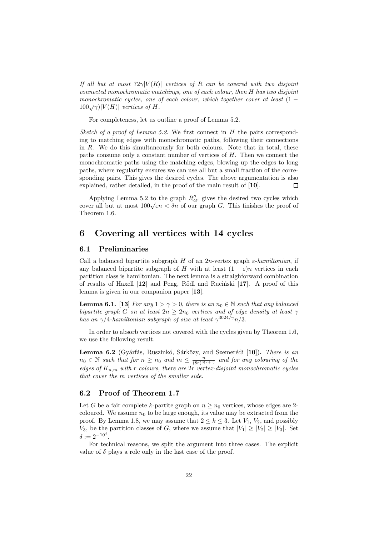If all but at most  $72\gamma|V(R)|$  vertices of R can be covered with two disjoint connected monochromatic matchings, one of each colour, then H has two disjoint monochromatic cycles, one of each colour, which together cover at least  $(1 100\sqrt{\gamma}$ | $V(H)$ | vertices of H.

For completeness, let us outline a proof of Lemma 5.2.

Sketch of a proof of Lemma 5.2. We first connect in  $H$  the pairs corresponding to matching edges with monochromatic paths, following their connections in R. We do this simultaneously for both colours. Note that in total, these paths consume only a constant number of vertices of  $H$ . Then we connect the monochromatic paths using the matching edges, blowing up the edges to long paths, where regularity ensures we can use all but a small fraction of the corresponding pairs. This gives the desired cycles. The above argumentation is also explained, rather detailed, in the proof of the main result of [10].  $\Box$ 

Applying Lemma 5.2 to the graph  $R''_{G'}$  gives the desired two cycles which Applying Lemma 3.2 to the graph  $n_G$ , gives the desired two cycles which<br>cover all but at most  $100\sqrt{\varepsilon}n < \delta n$  of our graph G. This finishes the proof of Theorem 1.6.

# 6 Covering all vertices with 14 cycles

#### 6.1 Preliminaries

Call a balanced bipartite subgraph H of an 2n-vertex graph  $\varepsilon$ -hamiltonian, if any balanced bipartite subgraph of H with at least  $(1 - \varepsilon)n$  vertices in each partition class is hamiltonian. The next lemma is a straighforward combination of results of Haxell  $[12]$  and Peng, Rödl and Ruciński  $[17]$ . A proof of this lemma is given in our companion paper [13].

**Lemma 6.1.** [13] For any  $1 > \gamma > 0$ , there is an  $n_0 \in \mathbb{N}$  such that any balanced bipartite graph G on at least  $2n \geq 2n_0$  vertices and of edge density at least  $\gamma$ has an  $\gamma/4$ -hamiltonian subgraph of size at least  $\gamma^{3024/\gamma}n/3$ .

In order to absorb vertices not covered with the cycles given by Theorem 1.6, we use the following result.

Lemma 6.2 (Gyárfás, Ruszinkó, Sárközy, and Szemerédi [10]). There is an  $n_0 \in \mathbb{N}$  such that for  $n \geq n_0$  and  $m \leq \frac{n}{(8r)^{8(r+1)}}$  and for any colouring of the edges of  $K_{n,m}$  with r colours, there are  $2r$  vertex-disjoint monochromatic cycles that cover the m vertices of the smaller side.

#### 6.2 Proof of Theorem 1.7

Let G be a fair complete k-partite graph on  $n \geq n_0$  vertices, whose edges are 2coloured. We assume  $n_0$  to be large enough, its value may be extracted from the proof. By Lemma 1.8, we may assume that  $2 \leq k \leq 3$ . Let  $V_1$ ,  $V_2$ , and possibly  $V_3$ , be the partition classes of G, where we assume that  $|V_1| \geq |V_2| \geq |V_3|$ . Set  $\delta := 2^{-10^4}.$ 

For technical reasons, we split the argument into three cases. The explicit value of  $\delta$  plays a role only in the last case of the proof.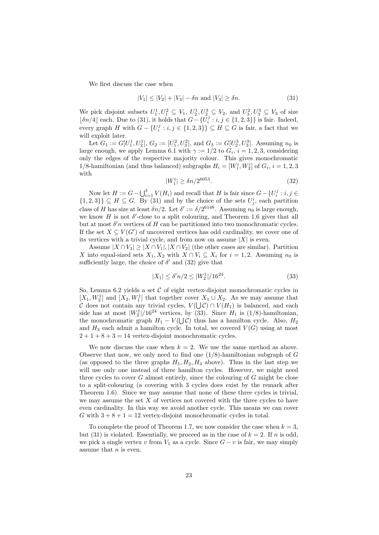We first discuss the case when

$$
|V_1| \le |V_2| + |V_3| - \delta n \text{ and } |V_3| \ge \delta n. \tag{31}
$$

We pick disjoint subsets  $U_1^1, U_1^2 \subseteq V_1$ ,  $U_2^1, U_2^3 \subseteq V_2$ , and  $U_3^2, U_3^3 \subseteq V_3$  of size [ $\delta n/4$ ] each. Due to (31), it holds that  $G - \{U_i^j : i, j \in \{1, 2, 3\}\}\$  is fair. Indeed, every graph H with  $G - \{U_i^j : i, j \in \{1, 2, 3\}\} \subseteq H \subseteq G$  is fair, a fact that we will exploit later.

Let  $G_1 := G[U_1^1, U_2^1], G_2 := [U_1^2, U_3^2],$  and  $G_3 := G[U_2^3, U_3^3]$ . Assuming  $n_0$  is large enough, we apply Lemma 6.1 with  $\gamma := 1/2$  to  $G_i$ ,  $i = 1, 2, 3$ , considering only the edges of the respective majority colour. This gives monochromatic 1/8-hamiltonian (and thus balanced) subgraphs  $H_i = [W_1^i, W_2^i]$  of  $G_i$ ,  $i = 1, 2, 3$ with

$$
|W_1^i| \ge \delta n / 2^{6053}.\tag{32}
$$

Now let  $H := G - \bigcup_{i=1}^{3} V(H_i)$  and recall that H is fair since  $G - \{U_i^j : i, j \in$  $\{1,2,3\}$   $\subseteq$  H  $\subseteq$  G. By (31) and by the choice of the sets  $U_j^i$ , each partition class of H has size at least  $\delta n/2$ . Let  $\delta' := \delta/2^{6148}$ . Assuming  $n_0$  is large enough, we know  $H$  is not  $\delta'$ -close to a split colouring, and Theorem 1.6 gives that all but at most  $\delta'$ n vertices of H can be partitioned into two monochromatic cycles. If the set  $X \subseteq V(G')$  of uncovered vertices has odd cardinality, we cover one of its vertices with a trivial cycle, and from now on assume  $|X|$  is even.

Assume  $|X \cap V_3| \geq |X \cap V_1|$ ,  $|X \cap V_2|$  (the other cases are similar). Partition X into equal-sized sets  $X_1, X_2$  with  $X \cap V_i \subseteq X_i$  for  $i = 1, 2$ . Assuming  $n_0$  is sufficiently large, the choice of  $\delta'$  and (32) give that

$$
|X_1| \le \delta' n/2 \le |W_2^1|/16^{24}.\tag{33}
$$

So, Lemma 6.2 yields a set  $\mathcal C$  of eight vertex-disjoint monochromatic cycles in  $[X_1, W_2^1]$  and  $[X_2, W_1^1]$  that together cover  $X_1 \cup X_2$ . As we may assume that C does not contain any trivial cycles,  $V(\bigcup \mathcal{C}) \cap V(H_1)$  is balanced, and each side has at most  $|W_2|/16^{24}$  vertices, by (33). Since  $H_1$  is (1/8)-hamiltonian, the monochromatic graph  $H_1 - V(\bigcup \mathcal{C})$  thus has a hamilton cycle. Also,  $H_2$ and  $H_3$  each admit a hamilton cycle. In total, we covered  $V(G)$  using at most  $2 + 1 + 8 + 3 = 14$  vertex-disjoint monochromatic cycles.

We now discuss the case when  $k = 2$ . We use the same method as above. Observe that now, we only need to find one  $(1/8)$ -hamiltonian subgraph of G (as opposed to the three graphs  $H_1, H_2, H_3$  above). Thus in the last step we will use only one instead of three hamilton cycles. However, we might need three cycles to cover  $G$  almost entirely, since the colouring of  $G$  might be close to a split-colouring (a covering with 3 cycles does exist by the remark after Theorem 1.6). Since we may assume that none of these three cycles is trivial, we may assume the set  $X$  of vertices not covered with the three cycles to have even cardinality. In this way we avoid another cycle. This means we can cover G with  $3 + 8 + 1 = 12$  vertex-disjoint monochromatic cycles in total.

To complete the proof of Theorem 1.7, we now consider the case when  $k = 3$ , but (31) is violated. Essentially, we proceed as in the case of  $k = 2$ . If n is odd, we pick a single vertex v from  $V_1$  as a cycle. Since  $G - v$  is fair, we may simply assume that  $n$  is even.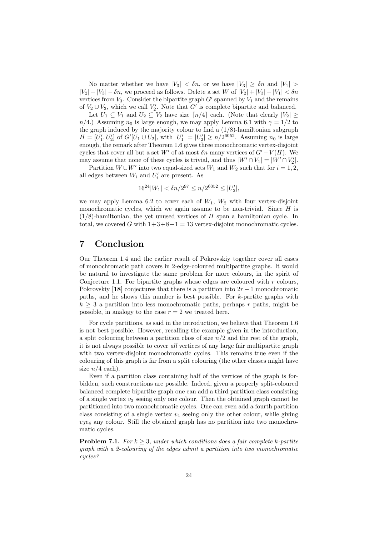No matter whether we have  $|V_3| < \delta n$ , or we have  $|V_3| \geq \delta n$  and  $|V_1| >$  $|V_2| + |V_3| - \delta n$ , we proceed as follows. Delete a set W of  $|V_2| + |V_3| - |V_1| < \delta n$ vertices from  $V_3$ . Consider the bipartite graph  $G'$  spanned by  $V_1$  and the remains of  $V_2 \cup V_3$ , which we call  $V_2'$ . Note that G' is complete bipartite and balanced.

Let  $U_1 \subseteq V_1$  and  $U_2 \subseteq V_2$  have size  $\lceil n/4 \rceil$  each. (Note that clearly  $|V_2| \ge$  $n/4$ .) Assuming  $n_0$  is large enough, we may apply Lemma 6.1 with  $\gamma = 1/2$  to the graph induced by the majority colour to find a  $(1/8)$ -hamiltonian subgraph  $H = [U'_1, U'_2]$  of  $G'[U_1 \cup U_2]$ , with  $|U'_1| = |U'_2| \ge n/2^{6052}$ . Assuming  $n_0$  is large enough, the remark after Theorem 1.6 gives three monochromatic vertex-disjoint cycles that cover all but a set W' of at most  $\delta n$  many vertices of  $G'-V(H)$ . We may assume that none of these cycles is trivial, and thus  $|W' \cap V_1| = |W' \cap V_2'|$ .

Partition  $W \cup W'$  into two equal-sized sets  $W_1$  and  $W_2$  such that for  $i = 1, 2$ , all edges between  $W_i$  and  $U'_i$  are present. As

$$
16^{24}|W_1| < \delta n/2^{97} \le n/2^{6052} \le |U_2'|,
$$

we may apply Lemma 6.2 to cover each of  $W_1$ ,  $W_2$  with four vertex-disjoint monochromatic cycles, which we again assume to be non-trivial. Since  $H$  is  $(1/8)$ -hamiltonian, the yet unused vertices of H span a hamiltonian cycle. In total, we covered G with  $1+3+8+1=13$  vertex-disjoint monochromatic cycles.

# 7 Conclusion

Our Theorem 1.4 and the earlier result of Pokrovskiy together cover all cases of monochromatic path covers in 2-edge-coloured multipartite graphs. It would be natural to investigate the same problem for more colours, in the spirit of Conjecture 1.1. For bipartite graphs whose edges are coloured with  $r$  colours, Pokrovskiy [18] conjectures that there is a partition into  $2r - 1$  monochromatic paths, and he shows this number is best possible. For k-partite graphs with  $k > 3$  a partition into less monochromatic paths, perhaps r paths, might be possible, in analogy to the case  $r = 2$  we treated here.

For cycle partitions, as said in the introduction, we believe that Theorem 1.6 is not best possible. However, recalling the example given in the introduction, a split colouring between a partition class of size  $n/2$  and the rest of the graph, it is not always possible to cover all vertices of any large fair multipartite graph with two vertex-disjoint monochromatic cycles. This remains true even if the colouring of this graph is far from a split colouring (the other classes might have size  $n/4$  each).

Even if a partition class containing half of the vertices of the graph is forbidden, such constructions are possible. Indeed, given a properly split-coloured balanced complete bipartite graph one can add a third partition class consisting of a single vertex  $v_3$  seeing only one colour. Then the obtained graph cannot be partitioned into two monochromatic cycles. One can even add a fourth partition class consisting of a single vertex  $v_4$  seeing only the other colour, while giving  $v_3v_4$  any colour. Still the obtained graph has no partition into two monochromatic cycles.

**Problem 7.1.** For  $k \geq 3$ , under which conditions does a fair complete k-partite graph with a 2-colouring of the edges admit a partition into two monochromatic cycles?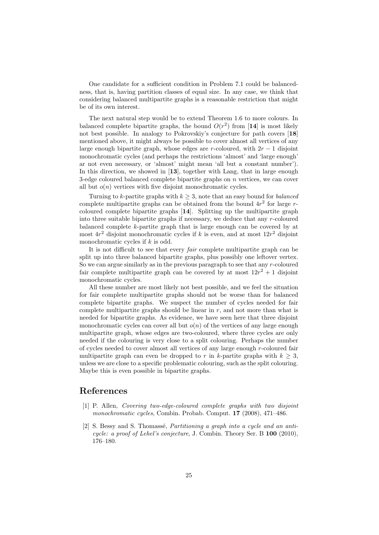One candidate for a sufficient condition in Problem 7.1 could be balancedness, that is, having partition classes of equal size. In any case, we think that considering balanced multipartite graphs is a reasonable restriction that might be of its own interest.

The next natural step would be to extend Theorem 1.6 to more colours. In balanced complete bipartite graphs, the bound  $O(r^2)$  from [14] is most likely not best possible. In analogy to Pokrovskiy's conjecture for path covers [18] mentioned above, it might always be possible to cover almost all vertices of any large enough bipartite graph, whose edges are r-coloured, with  $2r - 1$  disjoint monochromatic cycles (and perhaps the restrictions 'almost' and 'large enough' ar not even necessary, or 'almost' might mean 'all but a constant number'). In this direction, we showed in [13], together with Lang, that in large enough 3-edge coloured balanced complete bipartite graphs on  $n$  vertices, we can cover all but  $o(n)$  vertices with five disjoint monochromatic cycles.

Turning to k-partite graphs with  $k \geq 3$ , note that an easy bound for *balanced* complete multipartite graphs can be obtained from the bound  $4r^2$  for large rcoloured complete bipartite graphs [14]. Splitting up the multipartite graph into three suitable bipartite graphs if necessary, we deduce that any r-coloured balanced complete k-partite graph that is large enough can be covered by at most  $4r^2$  disjoint monochromatic cycles if k is even, and at most  $12r^2$  disjoint monochromatic cycles if  $k$  is odd.

It is not difficult to see that every fair complete multipartite graph can be split up into three balanced bipartite graphs, plus possibly one leftover vertex. So we can argue similarly as in the previous paragraph to see that any  $r$ -coloured fair complete multipartite graph can be covered by at most  $12r^2 + 1$  disjoint monochromatic cycles.

All these number are most likely not best possible, and we feel the situation for fair complete multipartite graphs should not be worse than for balanced complete bipartite graphs. We suspect the number of cycles needed for fair complete multipartite graphs should be linear in  $r$ , and not more than what is needed for bipartite graphs. As evidence, we have seen here that three disjoint monochromatic cycles can cover all but  $o(n)$  of the vertices of any large enough multipartite graph, whose edges are two-coloured, where three cycles are only needed if the colouring is very close to a split colouring. Perhaps the number of cycles needed to cover almost all vertices of any large enough r-coloured fair multipartite graph can even be dropped to r in k-partite graphs with  $k \geq 3$ , unless we are close to a specific problematic colouring, such as the split colouring. Maybe this is even possible in bipartite graphs.

# References

- [1] P. Allen, Covering two-edge-coloured complete graphs with two disjoint monochromatic cycles, Combin. Probab. Comput. 17 (2008), 471–486.
- [2] S. Bessy and S. Thomassé, *Partitioning a graph into a cycle and an anti*cycle: a proof of Lehel's conjecture, J. Combin. Theory Ser. B 100 (2010), 176–180.